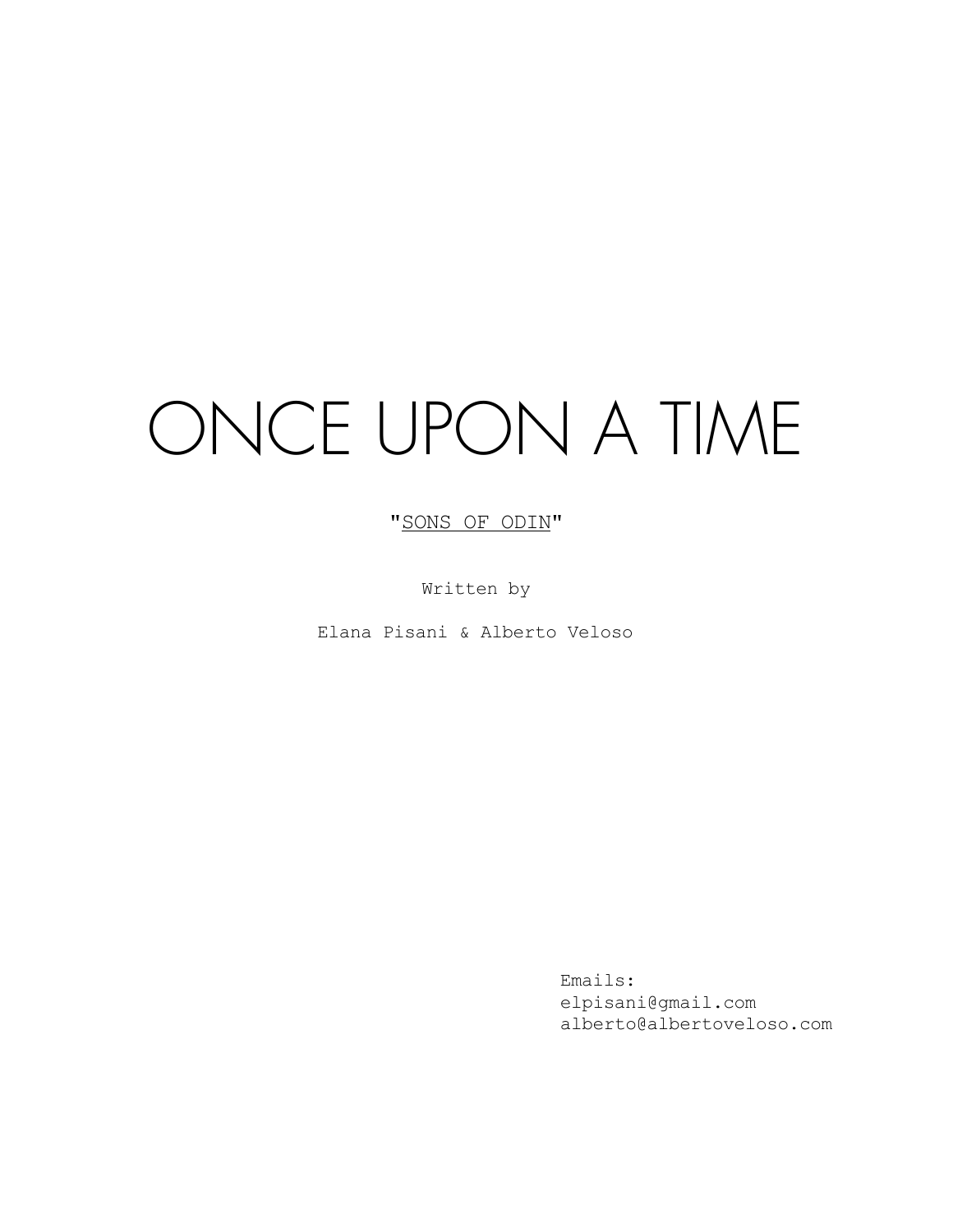# ONCE UPON A TIME

# "SONS OF ODIN"

Written by

Elana Pisani & Alberto Veloso

Emails: elpisani@gmail.com alberto@albertoveloso.com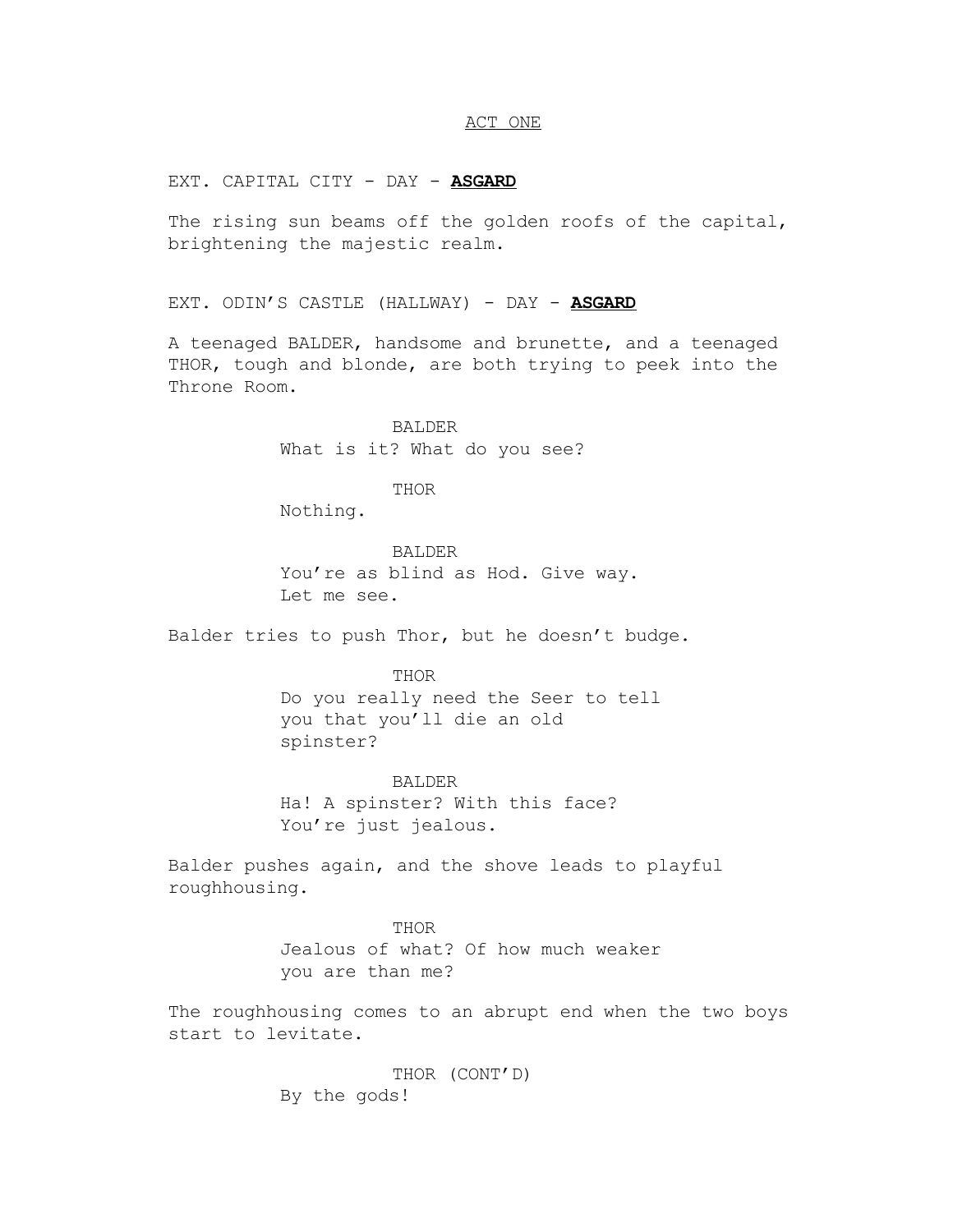## ACT ONE

EXT. CAPITAL CITY - DAY - **ASGARD**

The rising sun beams off the golden roofs of the capital, brightening the majestic realm.

EXT. ODIN'S CASTLE (HALLWAY) - DAY - **ASGARD**

A teenaged BALDER, handsome and brunette, and a teenaged THOR, tough and blonde, are both trying to peek into the Throne Room.

> BALDER What is it? What do you see?

> > THOR

Nothing.

BALDER You're as blind as Hod. Give way. Let me see.

Balder tries to push Thor, but he doesn't budge.

THOR Do you really need the Seer to tell you that you'll die an old spinster?

BALDER Ha! A spinster? With this face? You're just jealous.

Balder pushes again, and the shove leads to playful roughhousing.

> THOR Jealous of what? Of how much weaker you are than me?

The roughhousing comes to an abrupt end when the two boys start to levitate.

> THOR (CONT'D) By the gods!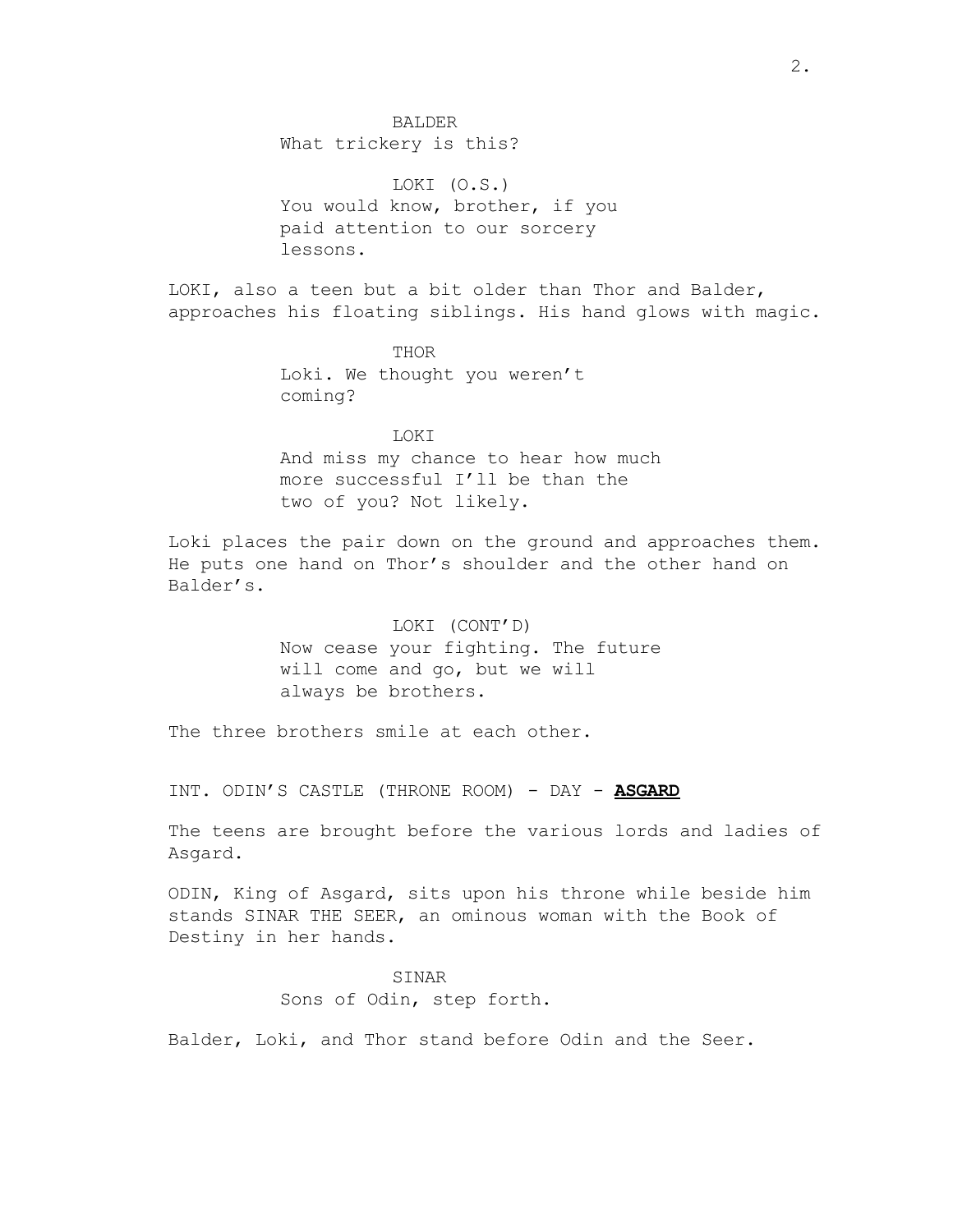BALDER

What trickery is this?

LOKI (O.S.) You would know, brother, if you paid attention to our sorcery lessons.

LOKI, also a teen but a bit older than Thor and Balder, approaches his floating siblings. His hand glows with magic.

> THOR Loki. We thought you weren't coming?

LOKI And miss my chance to hear how much more successful I'll be than the two of you? Not likely.

Loki places the pair down on the ground and approaches them. He puts one hand on Thor's shoulder and the other hand on Balder's.

> LOKI (CONT'D) Now cease your fighting. The future will come and go, but we will always be brothers.

The three brothers smile at each other.

INT. ODIN'S CASTLE (THRONE ROOM) - DAY - **ASGARD**

The teens are brought before the various lords and ladies of Asgard.

ODIN, King of Asgard, sits upon his throne while beside him stands SINAR THE SEER, an ominous woman with the Book of Destiny in her hands.

> SINAR Sons of Odin, step forth.

Balder, Loki, and Thor stand before Odin and the Seer.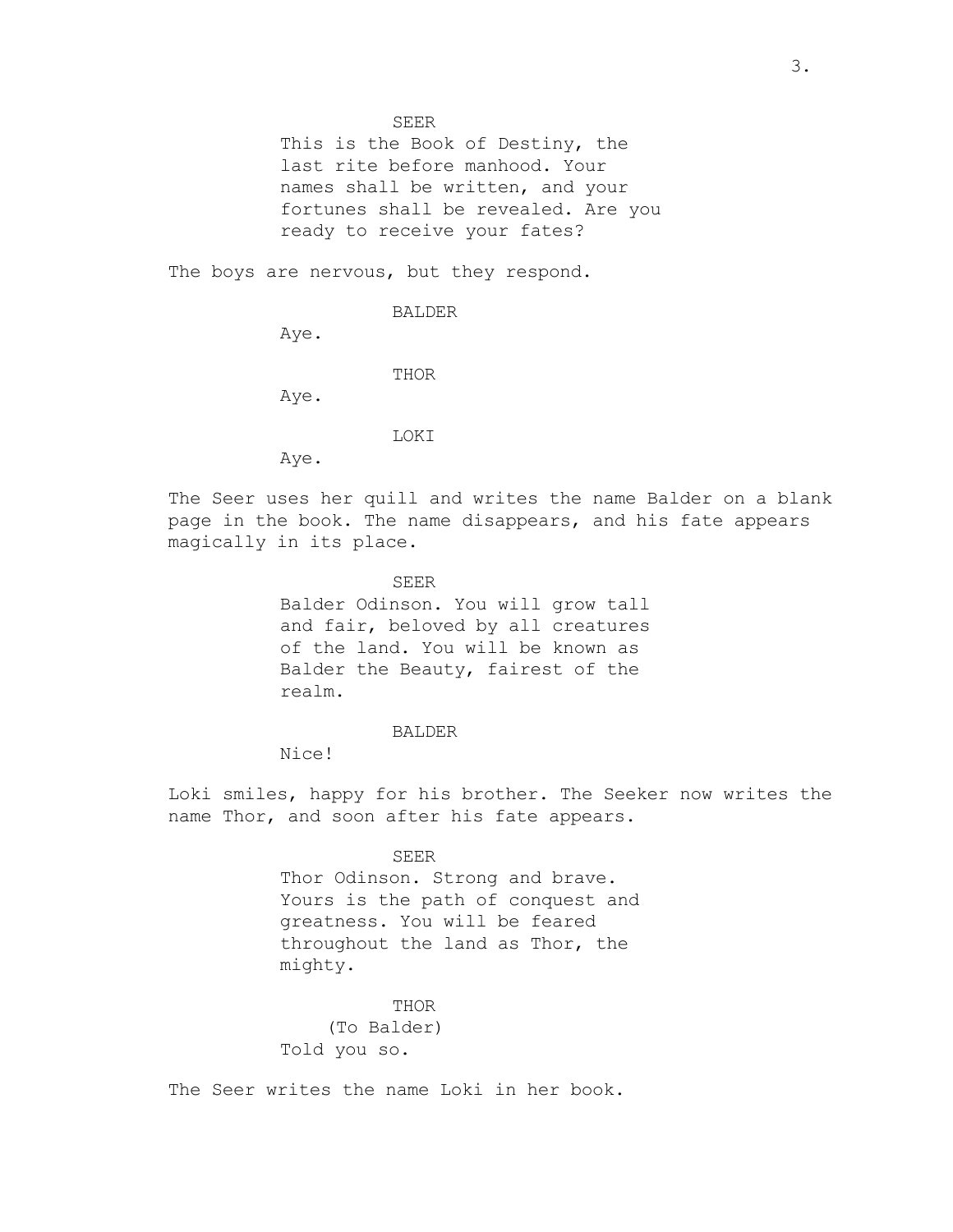SEER

This is the Book of Destiny, the last rite before manhood. Your names shall be written, and your fortunes shall be revealed. Are you ready to receive your fates?

The boys are nervous, but they respond.

BALDER

Aye.

THOR

Aye.

LOKI

Aye.

The Seer uses her quill and writes the name Balder on a blank page in the book. The name disappears, and his fate appears magically in its place.

SEER

Balder Odinson. You will grow tall and fair, beloved by all creatures of the land. You will be known as Balder the Beauty, fairest of the realm.

BALDER

Nice!

Loki smiles, happy for his brother. The Seeker now writes the name Thor, and soon after his fate appears.

> SEER Thor Odinson. Strong and brave. Yours is the path of conquest and greatness. You will be feared throughout the land as Thor, the mighty.

THOR (To Balder) Told you so.

The Seer writes the name Loki in her book.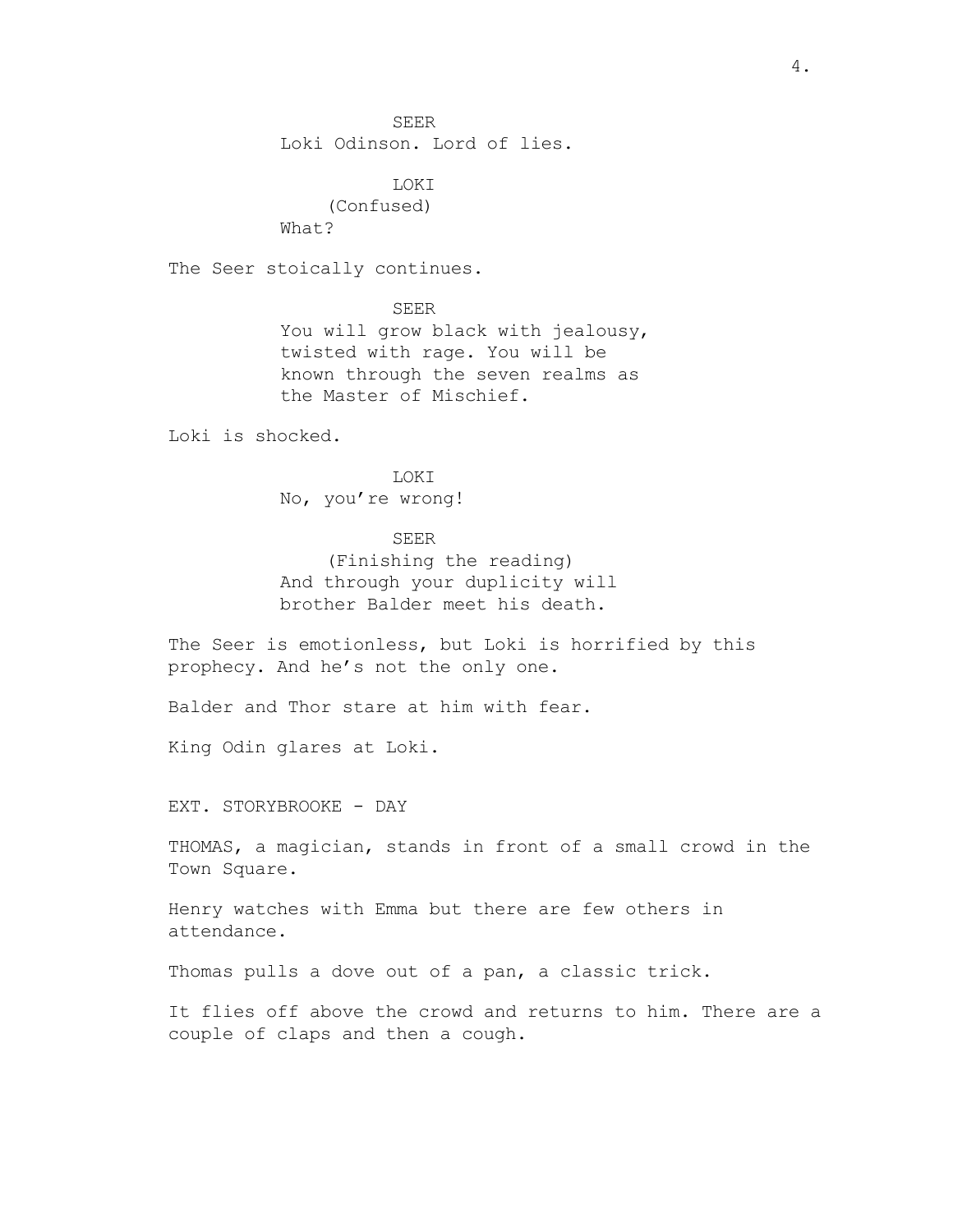SEER

Loki Odinson. Lord of lies.

LOKI (Confused) What?

The Seer stoically continues.

SEER You will grow black with jealousy, twisted with rage. You will be known through the seven realms as the Master of Mischief.

Loki is shocked.

LOKI No, you're wrong!

# SEER

(Finishing the reading) And through your duplicity will brother Balder meet his death.

The Seer is emotionless, but Loki is horrified by this prophecy. And he's not the only one.

Balder and Thor stare at him with fear.

King Odin glares at Loki.

EXT. STORYBROOKE - DAY

THOMAS, a magician, stands in front of a small crowd in the Town Square.

Henry watches with Emma but there are few others in attendance.

Thomas pulls a dove out of a pan, a classic trick.

It flies off above the crowd and returns to him. There are a couple of claps and then a cough.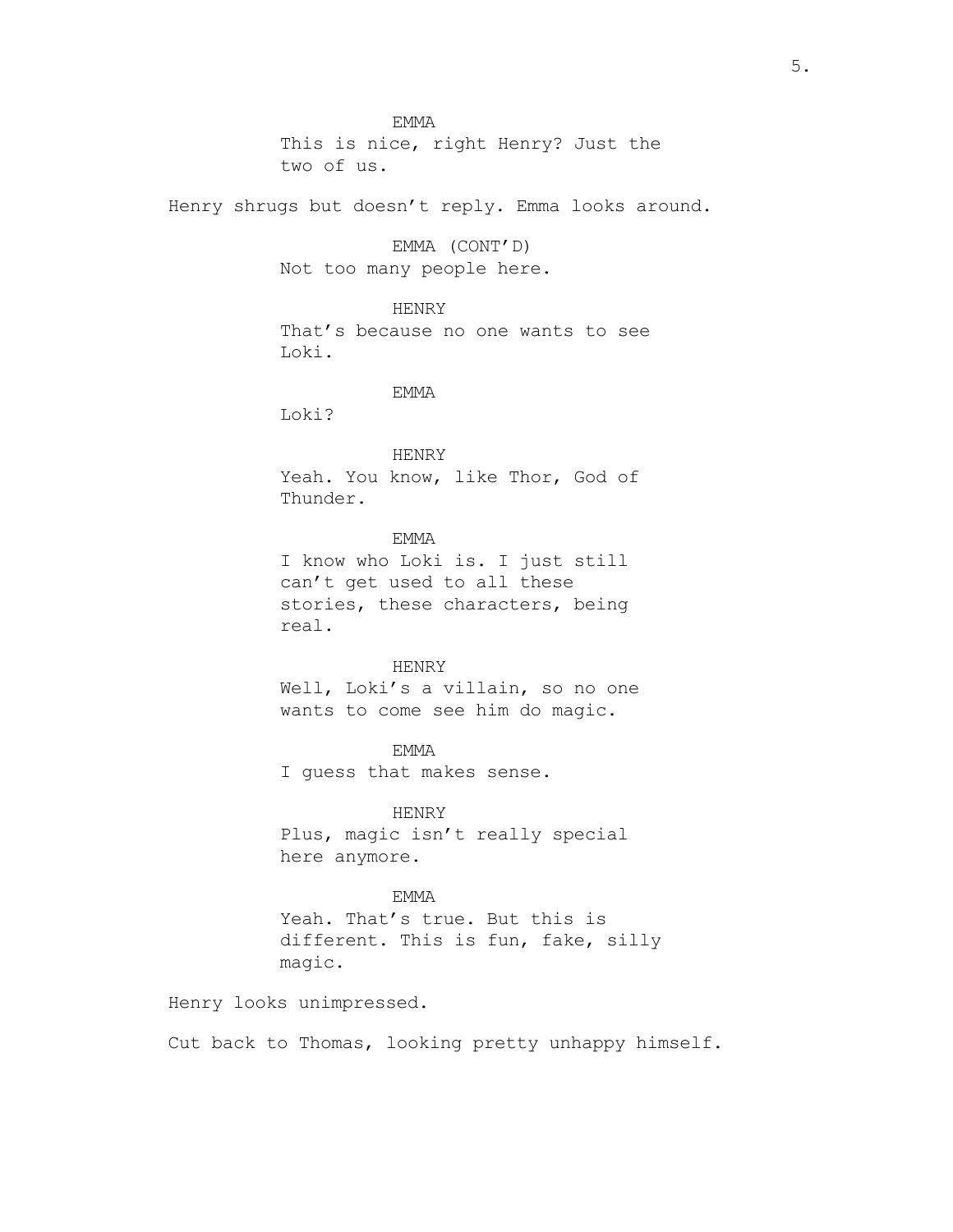EMMA This is nice, right Henry? Just the two of us.

Henry shrugs but doesn't reply. Emma looks around.

EMMA (CONT'D) Not too many people here.

HENRY That's because no one wants to see Loki.

#### EMMA

Loki?

HENRY Yeah. You know, like Thor, God of Thunder.

# EMMA

I know who Loki is. I just still can't get used to all these stories, these characters, being real.

## HENRY

Well, Loki's a villain, so no one wants to come see him do magic.

EMMA I guess that makes sense.

HENRY Plus, magic isn't really special here anymore.

## EMMA

Yeah. That's true. But this is different. This is fun, fake, silly magic.

Henry looks unimpressed.

Cut back to Thomas, looking pretty unhappy himself.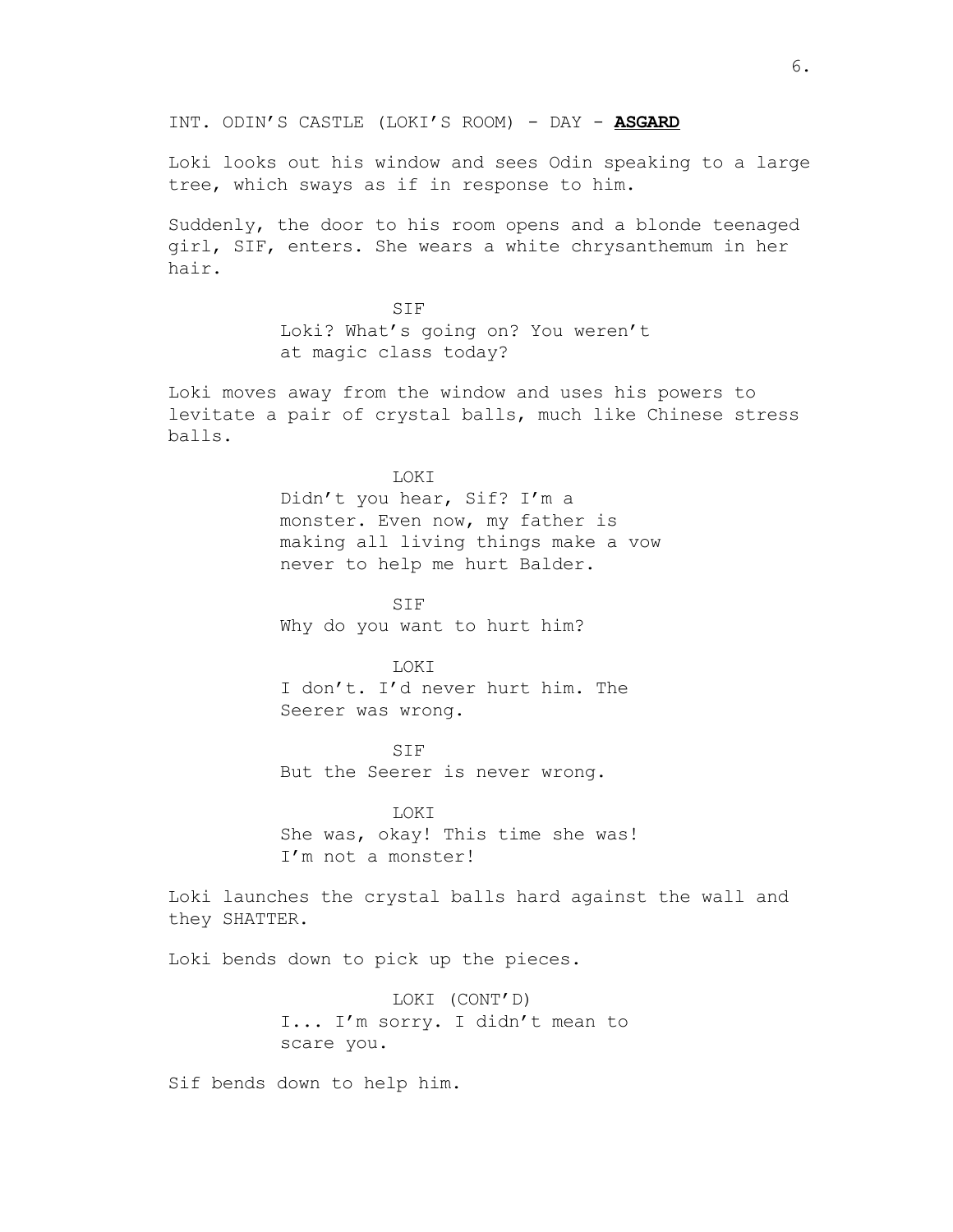INT. ODIN'S CASTLE (LOKI'S ROOM) - DAY - **ASGARD**

Loki looks out his window and sees Odin speaking to a large tree, which sways as if in response to him.

Suddenly, the door to his room opens and a blonde teenaged girl, SIF, enters. She wears a white chrysanthemum in her hair.

> SIF Loki? What's going on? You weren't at magic class today?

Loki moves away from the window and uses his powers to levitate a pair of crystal balls, much like Chinese stress balls.

#### LOKI

Didn't you hear, Sif? I'm a monster. Even now, my father is making all living things make a vow never to help me hurt Balder.

SIF Why do you want to hurt him?

# **LOKT**

I don't. I'd never hurt him. The Seerer was wrong.

SIF But the Seerer is never wrong.

LOKI She was, okay! This time she was! I'm not a monster!

Loki launches the crystal balls hard against the wall and they SHATTER.

Loki bends down to pick up the pieces.

LOKI (CONT'D) I... I'm sorry. I didn't mean to scare you.

Sif bends down to help him.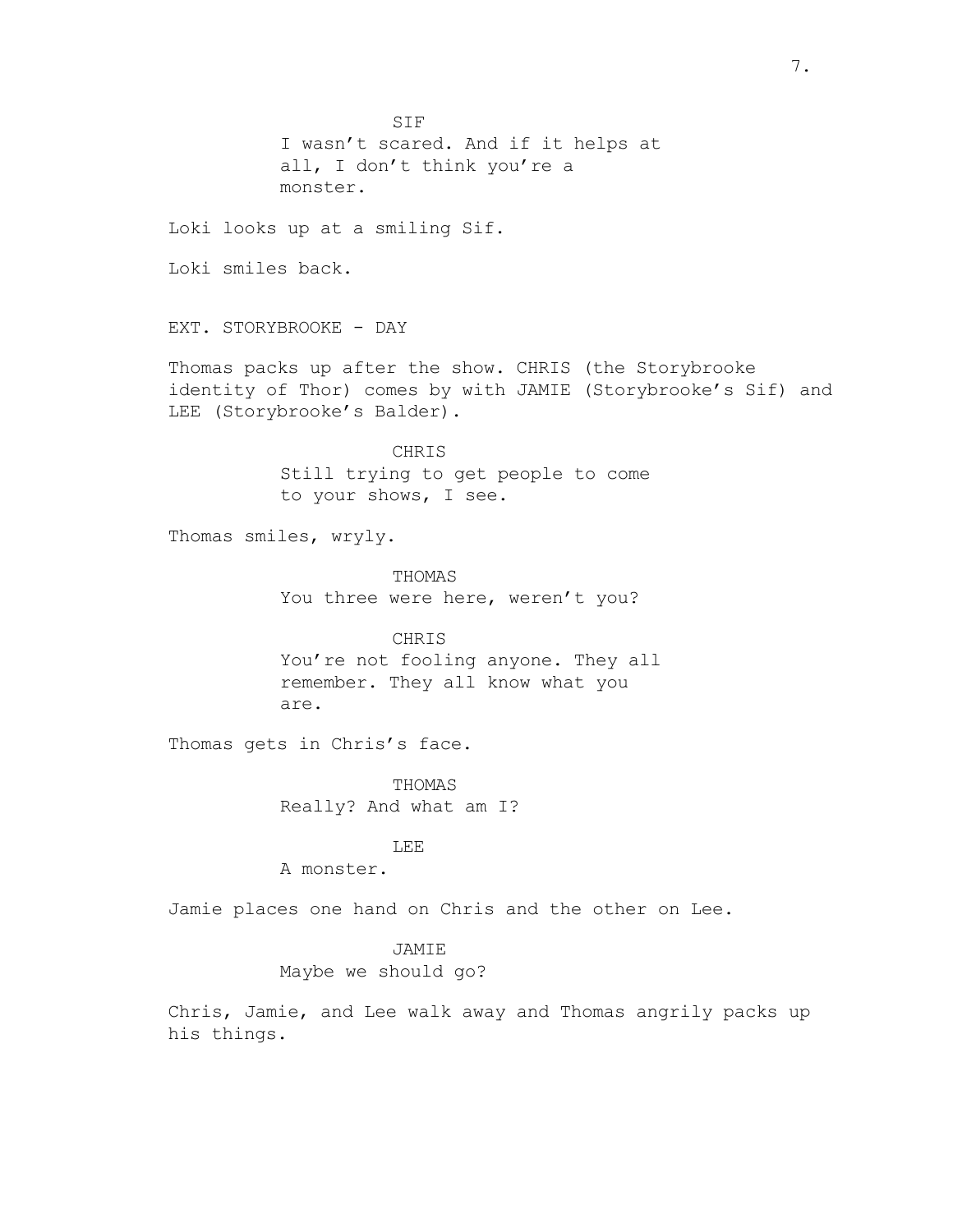SIF I wasn't scared. And if it helps at all, I don't think you're a monster.

Loki looks up at a smiling Sif.

Loki smiles back.

EXT. STORYBROOKE - DAY

Thomas packs up after the show. CHRIS (the Storybrooke identity of Thor) comes by with JAMIE (Storybrooke's Sif) and LEE (Storybrooke's Balder).

> CHRIS Still trying to get people to come to your shows, I see.

Thomas smiles, wryly.

THOMAS You three were here, weren't you?

CHRIS You're not fooling anyone. They all remember. They all know what you are.

Thomas gets in Chris's face.

THOMAS Really? And what am I?

# LEE

A monster.

Jamie places one hand on Chris and the other on Lee.

## JAMIE

Maybe we should go?

Chris, Jamie, and Lee walk away and Thomas angrily packs up his things.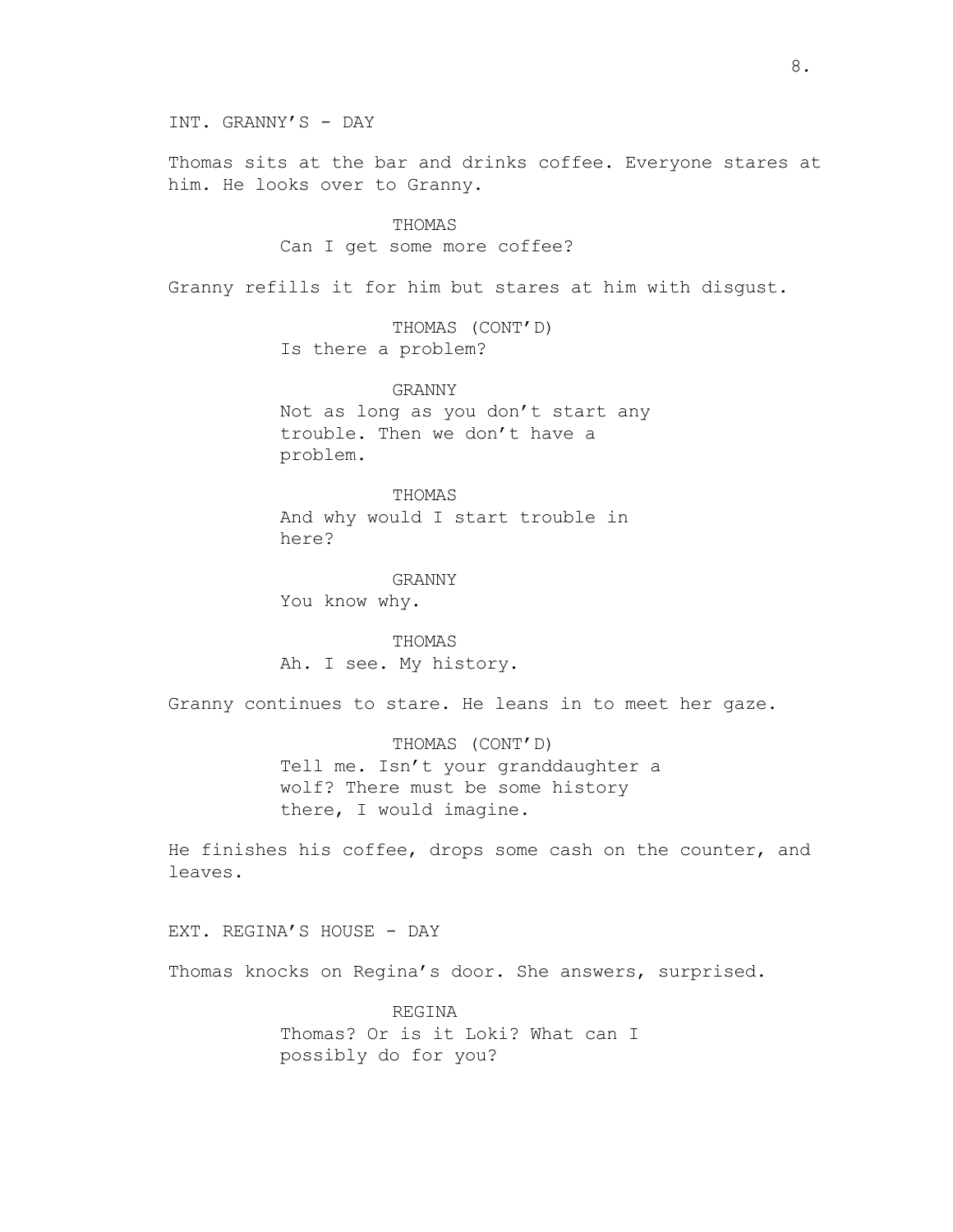Thomas sits at the bar and drinks coffee. Everyone stares at him. He looks over to Granny.

#### THOMAS

# Can I get some more coffee?

Granny refills it for him but stares at him with disgust.

THOMAS (CONT'D) Is there a problem?

GRANNY Not as long as you don't start any trouble. Then we don't have a problem.

THOMAS And why would I start trouble in here?

GRANNY You know why.

THOMAS Ah. I see. My history.

Granny continues to stare. He leans in to meet her gaze.

THOMAS (CONT'D) Tell me. Isn't your granddaughter a wolf? There must be some history there, I would imagine.

He finishes his coffee, drops some cash on the counter, and leaves.

EXT. REGINA'S HOUSE - DAY

Thomas knocks on Regina's door. She answers, surprised.

REGINA Thomas? Or is it Loki? What can I possibly do for you?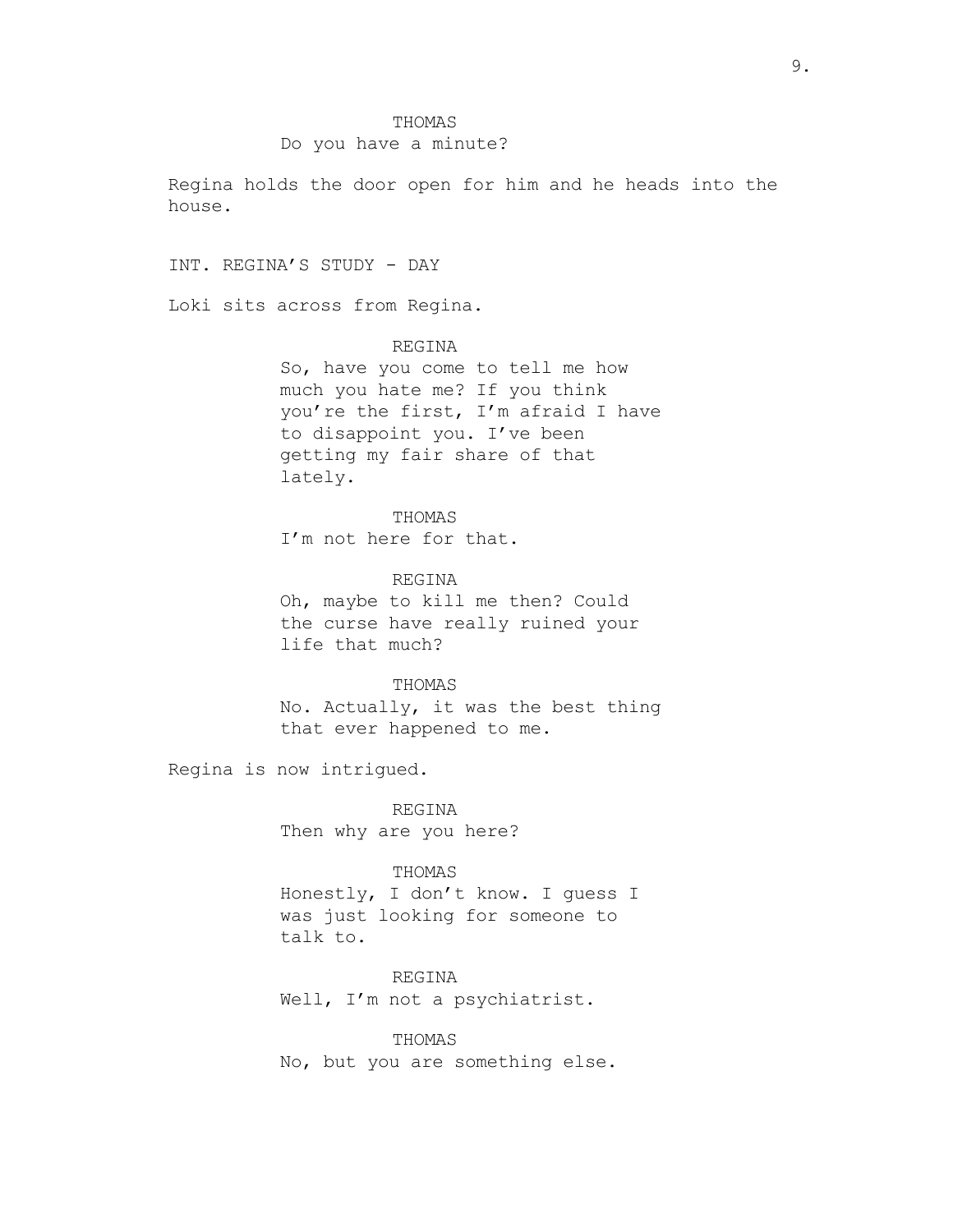## Do you have a minute?

Regina holds the door open for him and he heads into the house.

INT. REGINA'S STUDY - DAY

Loki sits across from Regina.

REGINA

So, have you come to tell me how much you hate me? If you think you're the first, I'm afraid I have to disappoint you. I've been getting my fair share of that lately.

THOMAS I'm not here for that.

REGINA Oh, maybe to kill me then? Could the curse have really ruined your life that much?

THOMAS

No. Actually, it was the best thing that ever happened to me.

Regina is now intrigued.

REGINA Then why are you here?

## THOMAS

Honestly, I don't know. I guess I was just looking for someone to talk to.

REGINA Well, I'm not a psychiatrist.

THOMAS

No, but you are something else.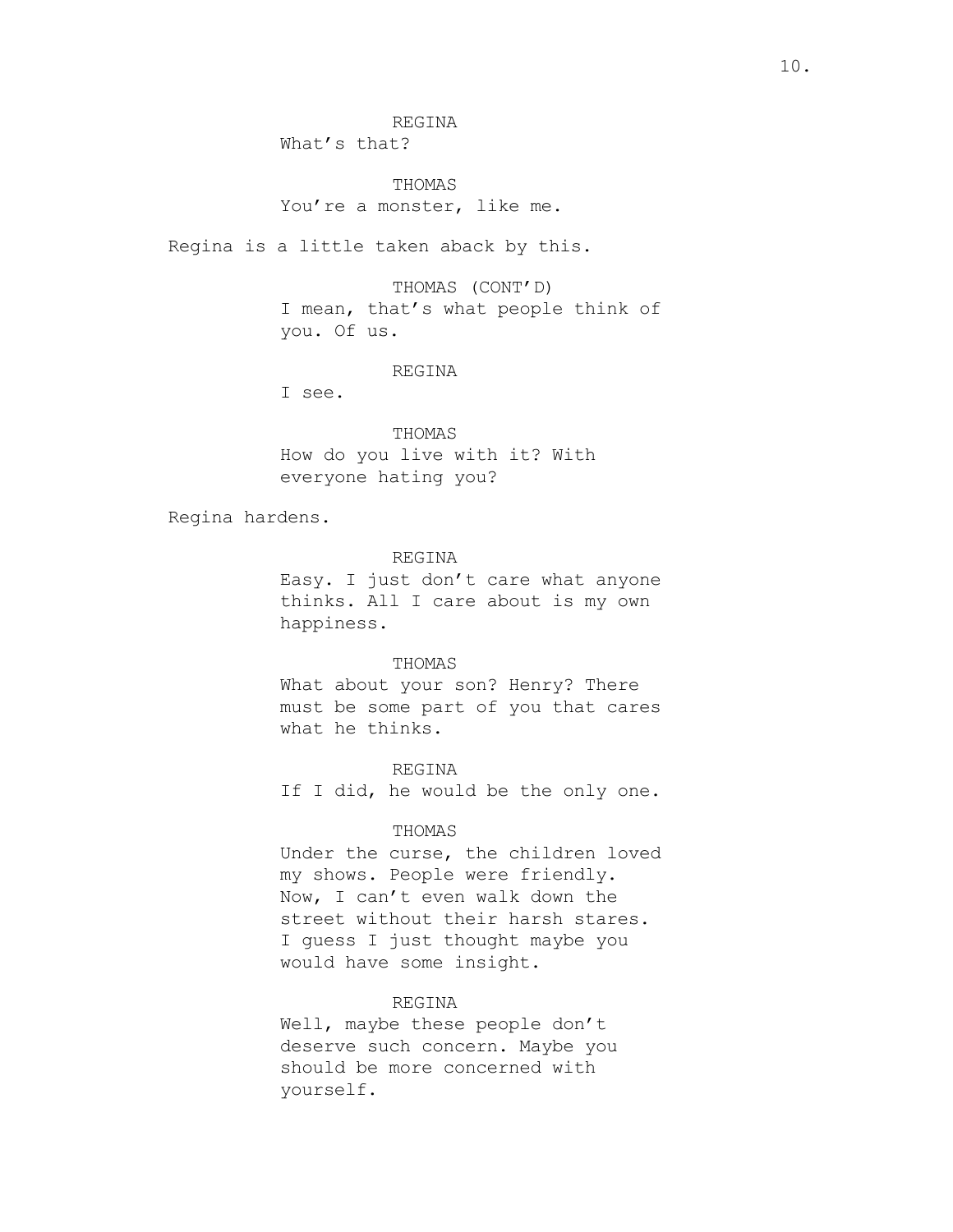REGINA

What's that?

THOMAS You're a monster, like me.

Regina is a little taken aback by this.

THOMAS (CONT'D) I mean, that's what people think of you. Of us.

#### REGINA

I see.

THOMAS How do you live with it? With everyone hating you?

Regina hardens.

#### REGINA

Easy. I just don't care what anyone thinks. All I care about is my own happiness.

#### THOMAS

What about your son? Henry? There must be some part of you that cares what he thinks.

REGINA

If I did, he would be the only one.

# THOMAS

Under the curse, the children loved my shows. People were friendly. Now, I can't even walk down the street without their harsh stares. I guess I just thought maybe you would have some insight.

## REGINA

Well, maybe these people don't deserve such concern. Maybe you should be more concerned with yourself.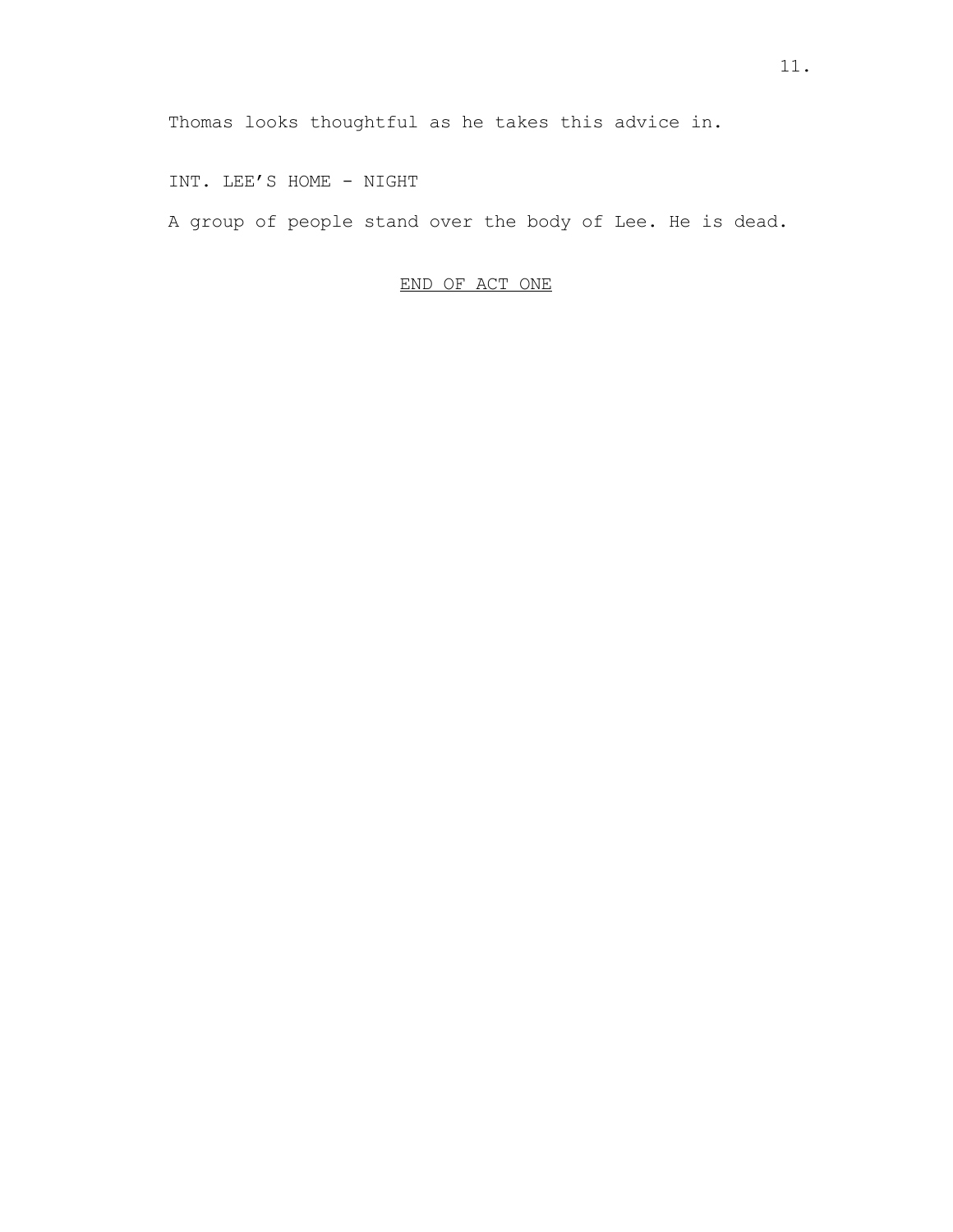INT. LEE'S HOME - NIGHT

A group of people stand over the body of Lee. He is dead.

# END OF ACT ONE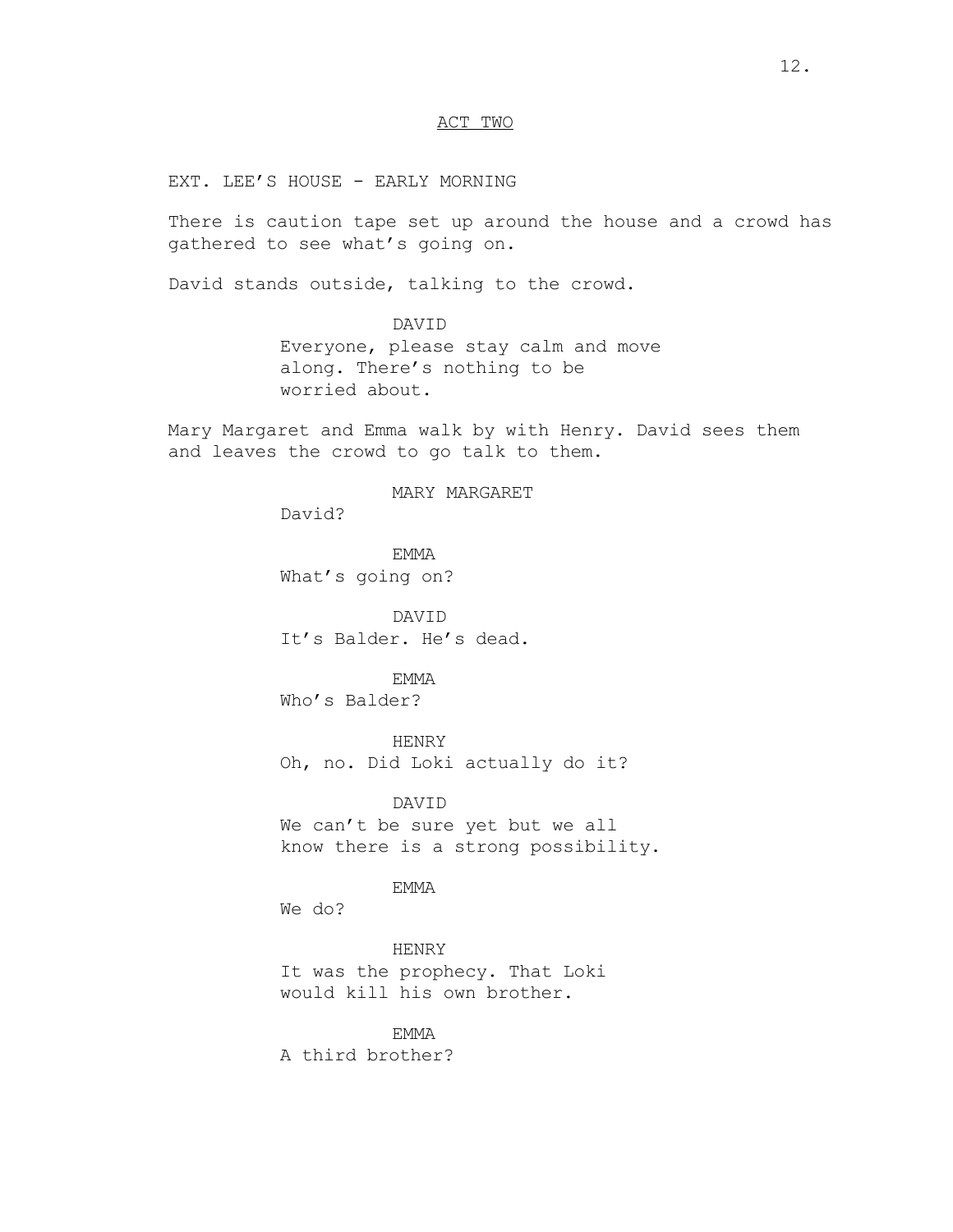# ACT TWO

EXT. LEE'S HOUSE - EARLY MORNING

There is caution tape set up around the house and a crowd has gathered to see what's going on.

David stands outside, talking to the crowd.

DAVID Everyone, please stay calm and move along. There's nothing to be worried about.

Mary Margaret and Emma walk by with Henry. David sees them and leaves the crowd to go talk to them.

## MARY MARGARET

David?

EMMA What's going on?

DAVID It's Balder. He's dead.

#### EMMA

Who's Balder?

HENRY

Oh, no. Did Loki actually do it?

DAVID We can't be sure yet but we all know there is a strong possibility.

EMMA

We do?

HENRY It was the prophecy. That Loki would kill his own brother.

EMMA A third brother?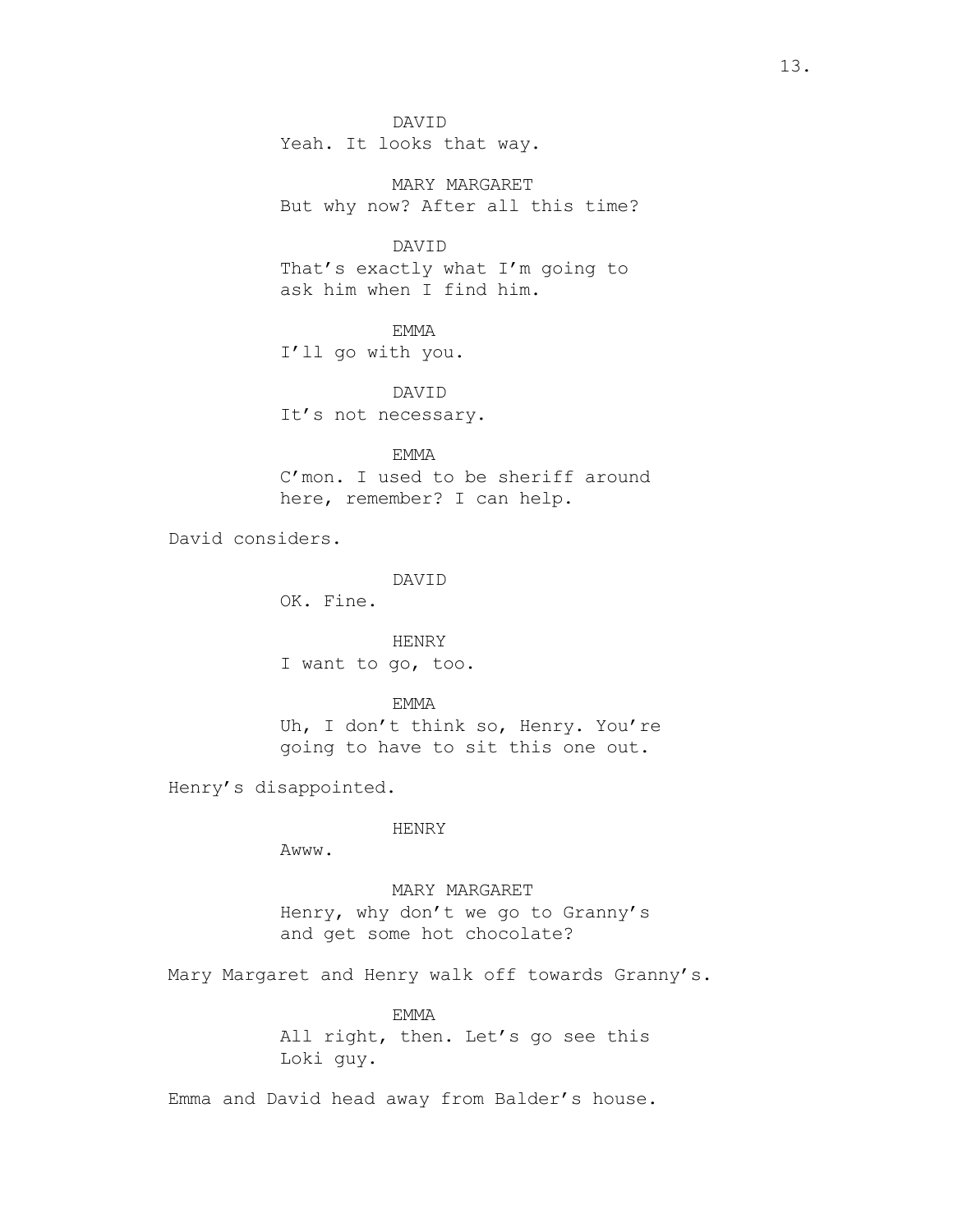DAVID Yeah. It looks that way.

MARY MARGARET But why now? After all this time?

DAVID That's exactly what I'm going to ask him when I find him.

EMMA I'll go with you.

DAVID It's not necessary.

EMMA C'mon. I used to be sheriff around here, remember? I can help.

David considers.

DAVID

OK. Fine.

HENRY I want to go, too.

EMMA Uh, I don't think so, Henry. You're going to have to sit this one out.

Henry's disappointed.

## HENRY

Awww.

MARY MARGARET Henry, why don't we go to Granny's and get some hot chocolate?

Mary Margaret and Henry walk off towards Granny's.

EMMA All right, then. Let's go see this Loki guy.

Emma and David head away from Balder's house.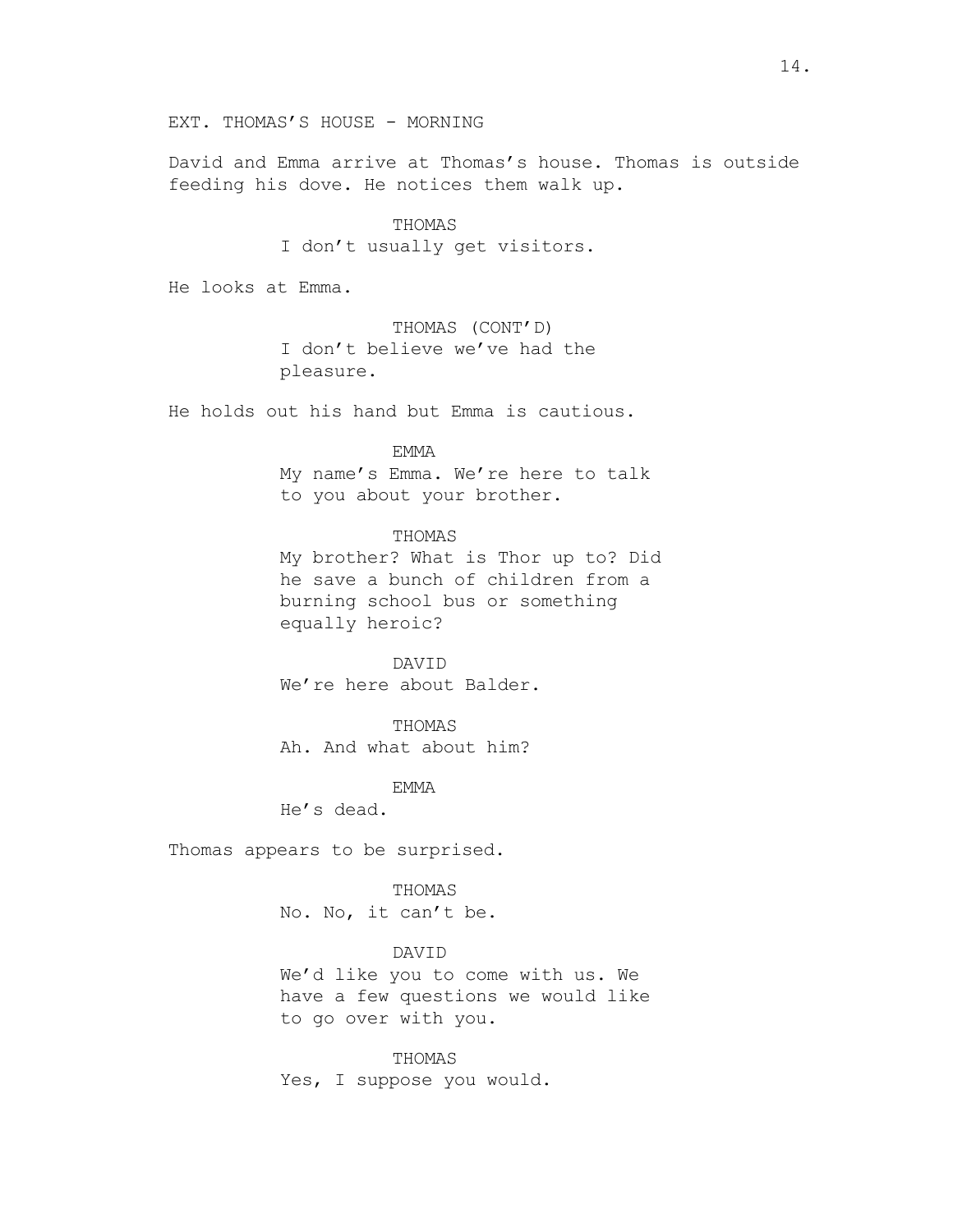David and Emma arrive at Thomas's house. Thomas is outside feeding his dove. He notices them walk up.

# THOMAS

I don't usually get visitors.

He looks at Emma.

THOMAS (CONT'D) I don't believe we've had the pleasure.

He holds out his hand but Emma is cautious.

#### EMMA

My name's Emma. We're here to talk to you about your brother.

# THOMAS

My brother? What is Thor up to? Did he save a bunch of children from a burning school bus or something equally heroic?

DAVID We're here about Balder.

THOMAS Ah. And what about him?

EMMA

He's dead.

Thomas appears to be surprised.

#### THOMAS

No. No, it can't be.

## DAVID

We'd like you to come with us. We have a few questions we would like to go over with you.

THOMAS Yes, I suppose you would.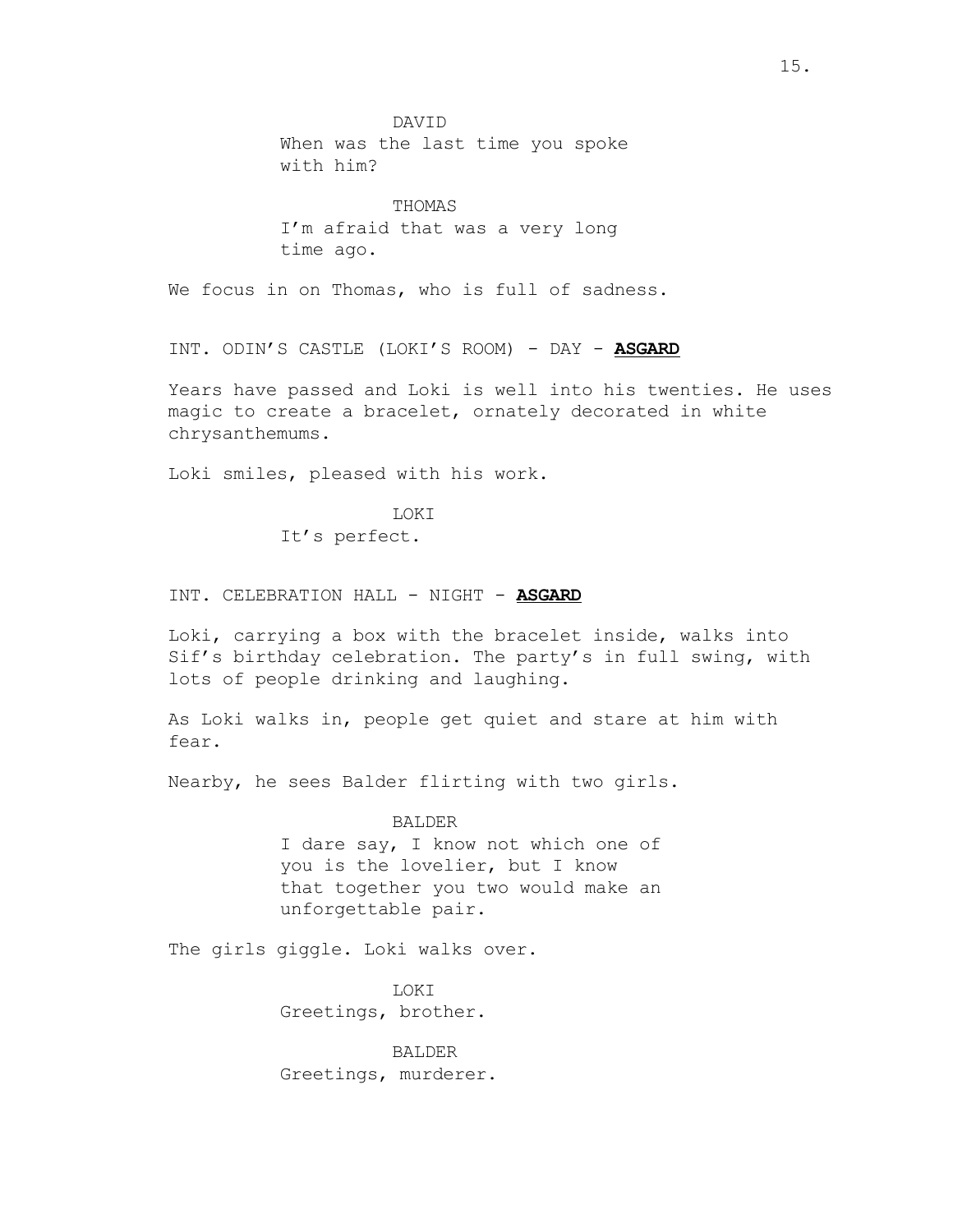DAVID When was the last time you spoke with him?

THOMAS I'm afraid that was a very long time ago.

We focus in on Thomas, who is full of sadness.

INT. ODIN'S CASTLE (LOKI'S ROOM) - DAY - **ASGARD**

Years have passed and Loki is well into his twenties. He uses magic to create a bracelet, ornately decorated in white chrysanthemums.

Loki smiles, pleased with his work.

LOKI

It's perfect.

INT. CELEBRATION HALL - NIGHT - **ASGARD**

Loki, carrying a box with the bracelet inside, walks into Sif's birthday celebration. The party's in full swing, with lots of people drinking and laughing.

As Loki walks in, people get quiet and stare at him with fear.

Nearby, he sees Balder flirting with two girls.

BALDER

I dare say, I know not which one of you is the lovelier, but I know that together you two would make an unforgettable pair.

The girls giggle. Loki walks over.

LOKI Greetings, brother.

BALDER Greetings, murderer.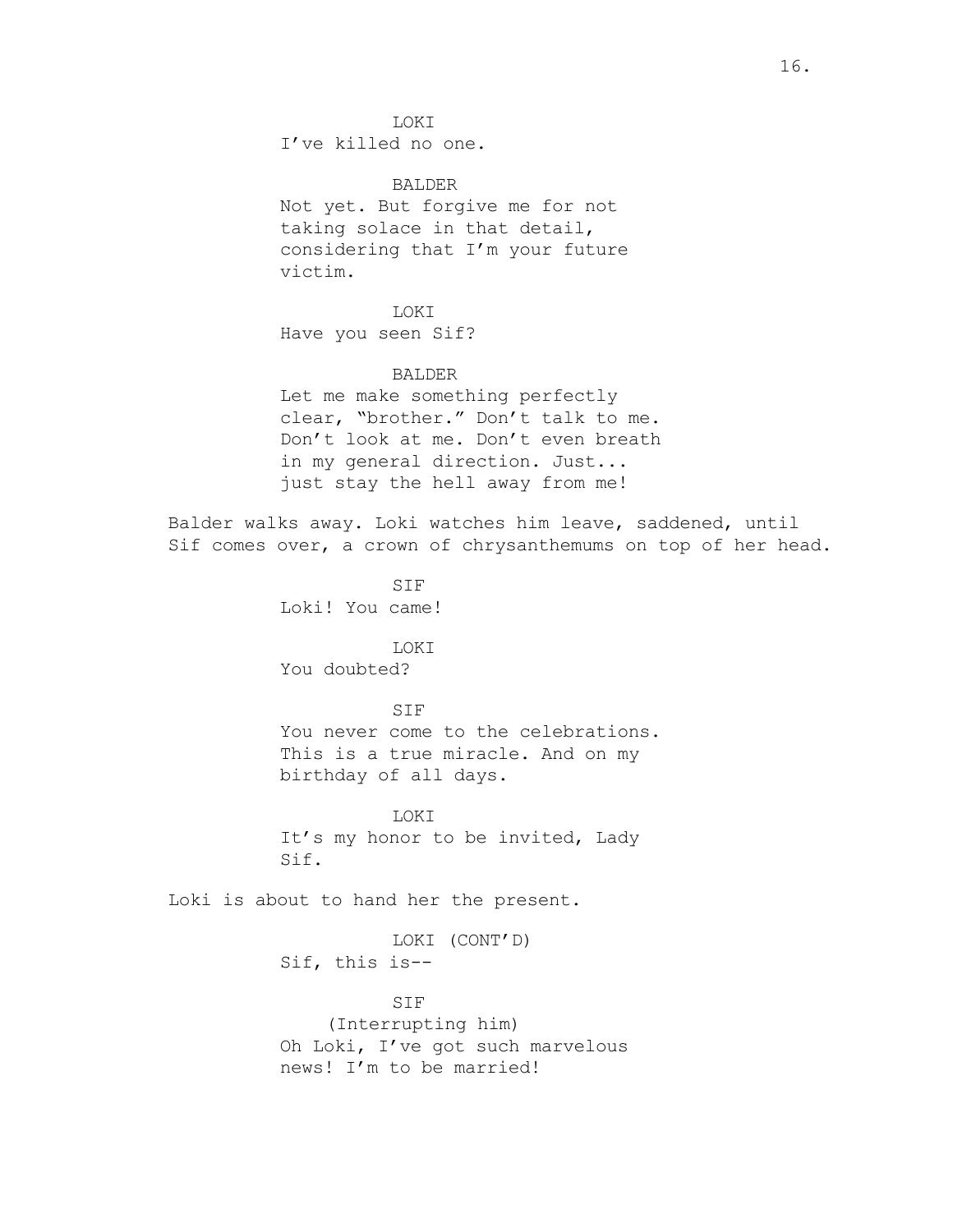LOKI

I've killed no one.

BALDER Not yet. But forgive me for not taking solace in that detail, considering that I'm your future victim.

LOKI Have you seen Sif?

## BALDER

Let me make something perfectly clear, "brother." Don't talk to me. Don't look at me. Don't even breath in my general direction. Just... just stay the hell away from me!

Balder walks away. Loki watches him leave, saddened, until Sif comes over, a crown of chrysanthemums on top of her head.

> SIF Loki! You came!

> > LOKI

You doubted?

## SIF

You never come to the celebrations. This is a true miracle. And on my birthday of all days.

LOKI

It's my honor to be invited, Lady Sif.

Loki is about to hand her the present.

LOKI (CONT'D) Sif, this is--

SIF (Interrupting him) Oh Loki, I've got such marvelous news! I'm to be married!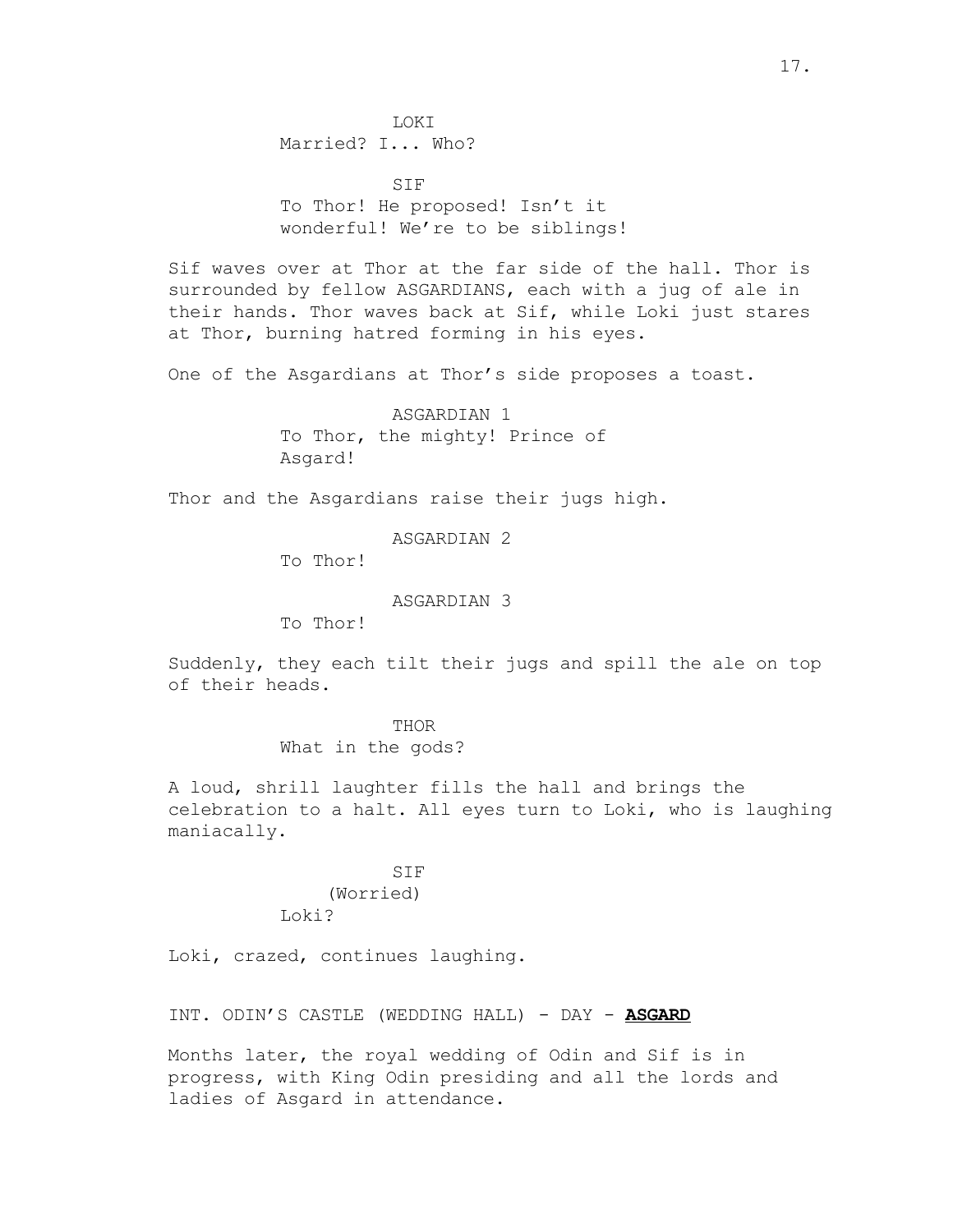LOKI Married? I... Who?

SIF To Thor! He proposed! Isn't it wonderful! We're to be siblings!

Sif waves over at Thor at the far side of the hall. Thor is surrounded by fellow ASGARDIANS, each with a jug of ale in their hands. Thor waves back at Sif, while Loki just stares at Thor, burning hatred forming in his eyes.

One of the Asgardians at Thor's side proposes a toast.

ASGARDIAN 1 To Thor, the mighty! Prince of Asgard!

Thor and the Asgardians raise their jugs high.

ASGARDIAN 2

To Thor!

ASGARDIAN 3

To Thor!

Suddenly, they each tilt their jugs and spill the ale on top of their heads.

> THOR What in the gods?

A loud, shrill laughter fills the hall and brings the celebration to a halt. All eyes turn to Loki, who is laughing maniacally.

# SIF

(Worried) Loki?

Loki, crazed, continues laughing.

INT. ODIN'S CASTLE (WEDDING HALL) - DAY - **ASGARD**

Months later, the royal wedding of Odin and Sif is in progress, with King Odin presiding and all the lords and ladies of Asgard in attendance.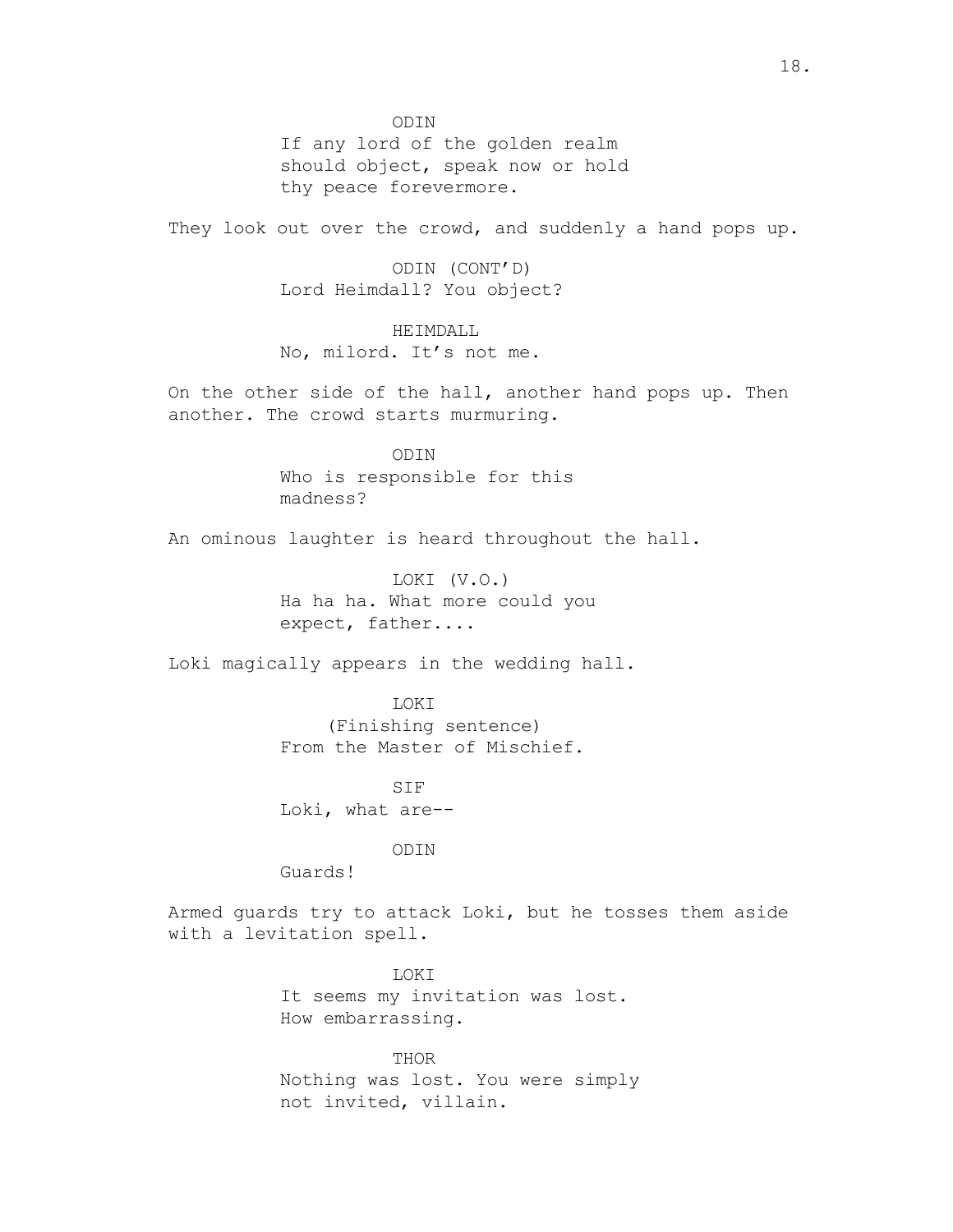ODIN If any lord of the golden realm should object, speak now or hold thy peace forevermore.

They look out over the crowd, and suddenly a hand pops up.

ODIN (CONT'D) Lord Heimdall? You object?

HEIMDALL No, milord. It's not me.

On the other side of the hall, another hand pops up. Then another. The crowd starts murmuring.

> ODIN Who is responsible for this madness?

An ominous laughter is heard throughout the hall.

LOKI (V.O.) Ha ha ha. What more could you expect, father....

Loki magically appears in the wedding hall.

LOKI (Finishing sentence) From the Master of Mischief.

SIF Loki, what are--

ODIN

Guards!

Armed guards try to attack Loki, but he tosses them aside with a levitation spell.

> LOKI It seems my invitation was lost. How embarrassing.

THOR Nothing was lost. You were simply not invited, villain.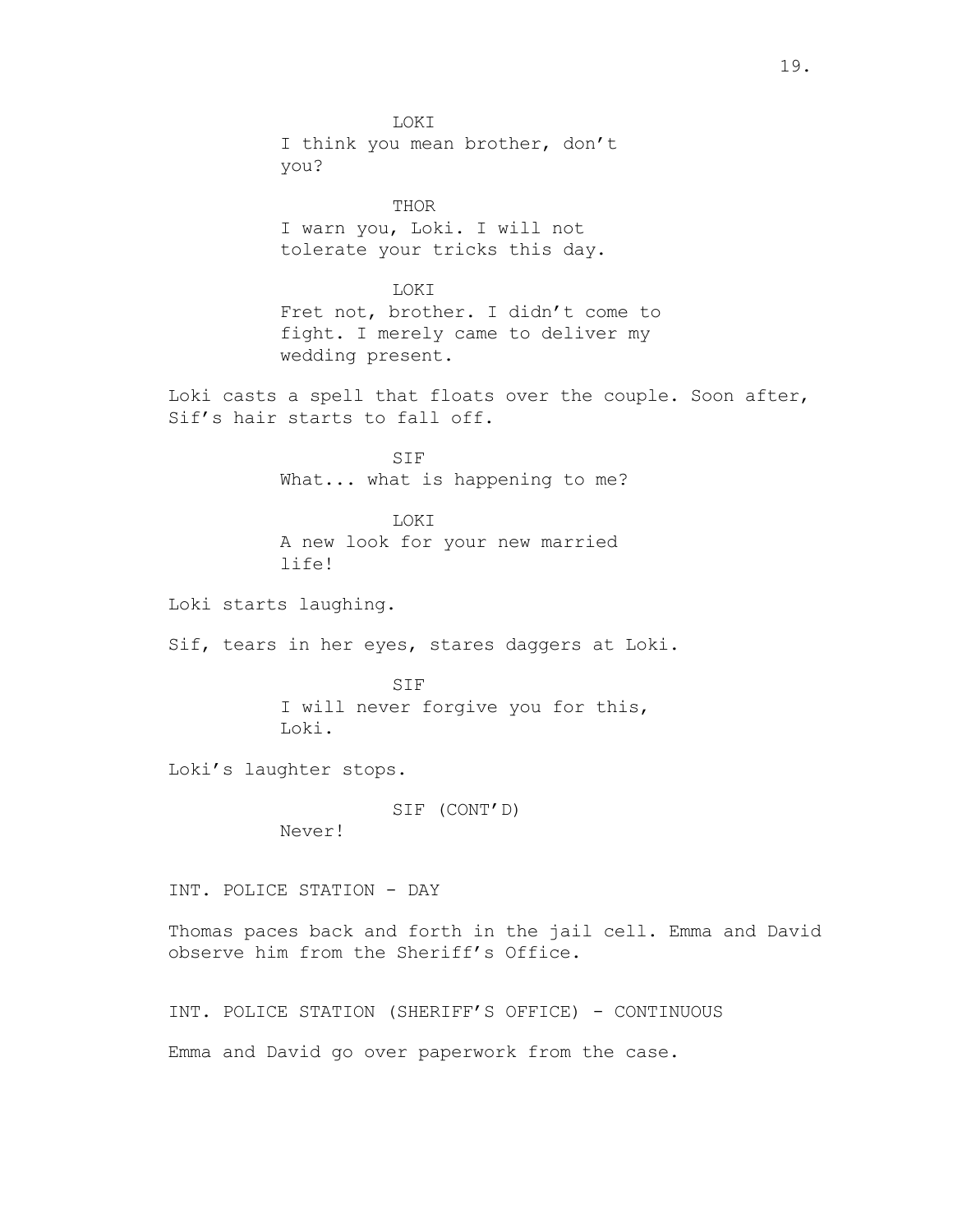LOKI I think you mean brother, don't you? THOR I warn you, Loki. I will not tolerate your tricks this day. LOKI Fret not, brother. I didn't come to fight. I merely came to deliver my wedding present. Loki casts a spell that floats over the couple. Soon after, Sif's hair starts to fall off. SIF What... what is happening to me? LOKI A new look for your new married life! Loki starts laughing. Sif, tears in her eyes, stares daggers at Loki. SIF I will never forgive you for this, Loki. Loki's laughter stops. SIF (CONT'D) Never! INT. POLICE STATION - DAY Thomas paces back and forth in the jail cell. Emma and David observe him from the Sheriff's Office. INT. POLICE STATION (SHERIFF'S OFFICE) - CONTINUOUS Emma and David go over paperwork from the case.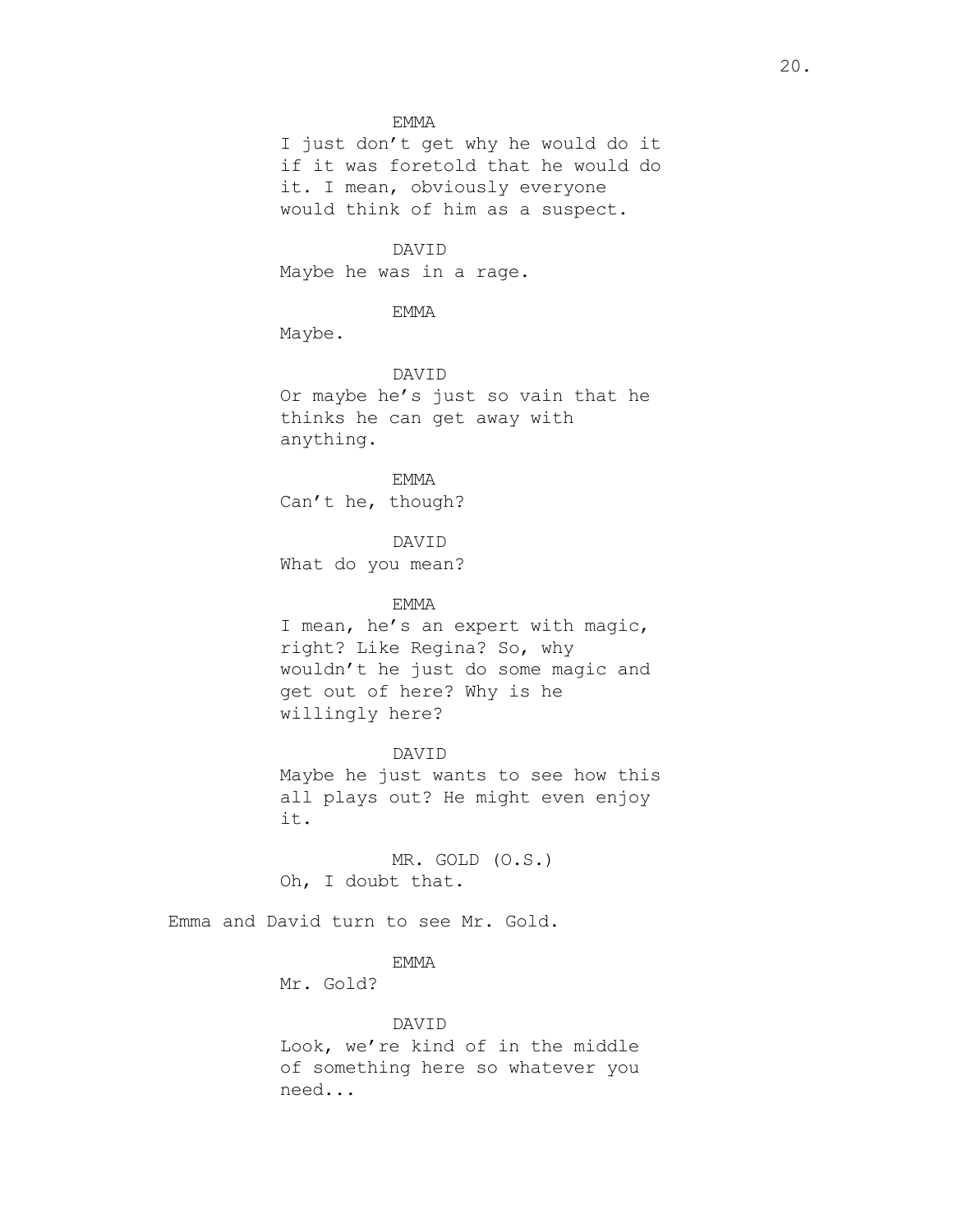#### EMMA

I just don't get why he would do it if it was foretold that he would do it. I mean, obviously everyone would think of him as a suspect.

## DAVID

Maybe he was in a rage.

EMMA

Maybe.

DAVID Or maybe he's just so vain that he thinks he can get away with anything.

EMMA Can't he, though?

DAVID What do you mean?

#### EMMA

I mean, he's an expert with magic, right? Like Regina? So, why wouldn't he just do some magic and get out of here? Why is he willingly here?

DAVID Maybe he just wants to see how this all plays out? He might even enjoy it.

MR. GOLD (O.S.) Oh, I doubt that.

Emma and David turn to see Mr. Gold.

# EMMA

Mr. Gold?

#### DAVID

Look, we're kind of in the middle of something here so whatever you need...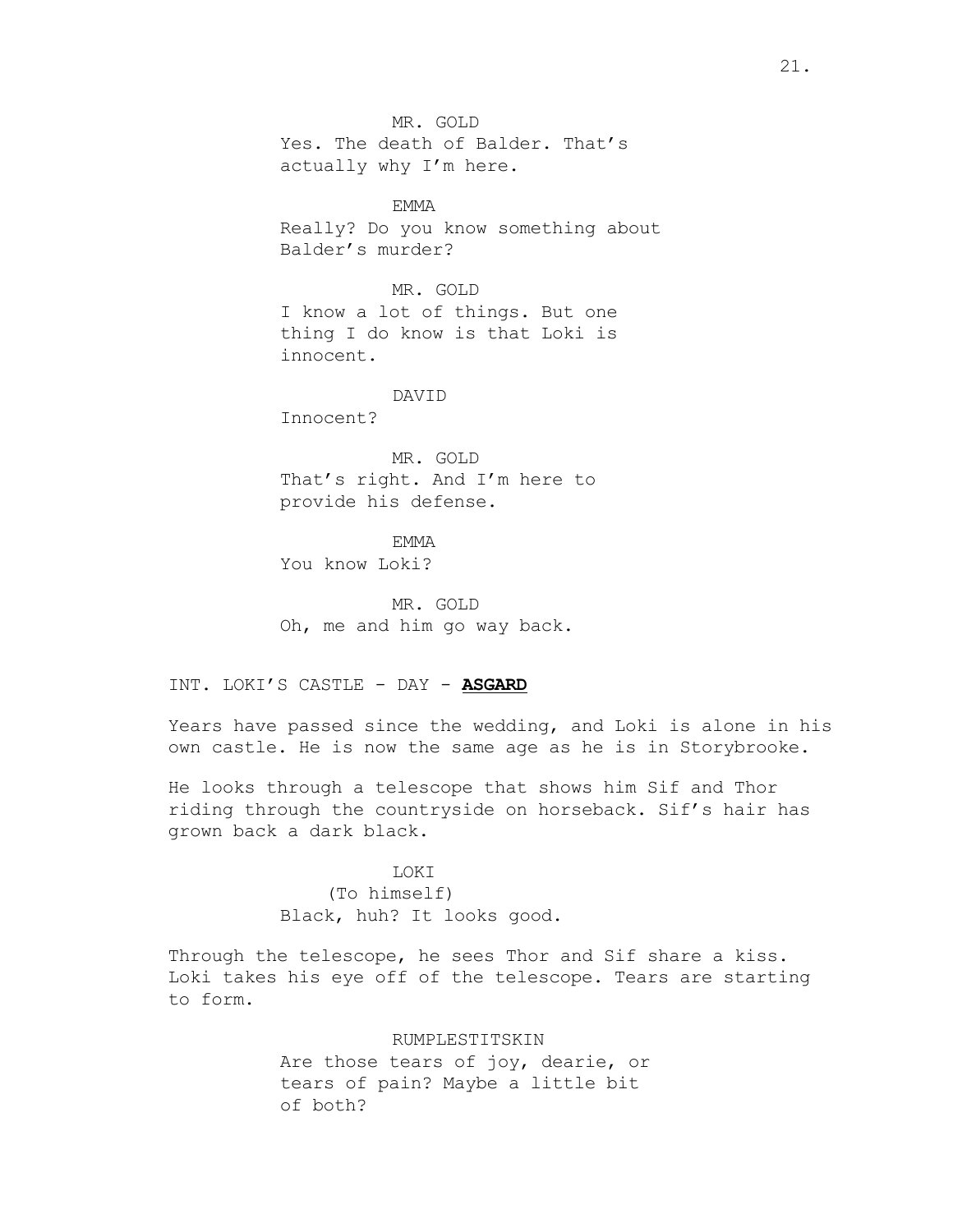MR. GOLD Yes. The death of Balder. That's actually why I'm here.

EMMA Really? Do you know something about Balder's murder?

MR. GOLD I know a lot of things. But one thing I do know is that Loki is innocent.

## DAVID

Innocent?

MR. GOLD That's right. And I'm here to provide his defense.

**EMMA** 

You know Loki?

MR. GOLD Oh, me and him go way back.

INT. LOKI'S CASTLE - DAY - **ASGARD**

Years have passed since the wedding, and Loki is alone in his own castle. He is now the same age as he is in Storybrooke.

He looks through a telescope that shows him Sif and Thor riding through the countryside on horseback. Sif's hair has grown back a dark black.

## **LOKT**

(To himself) Black, huh? It looks good.

Through the telescope, he sees Thor and Sif share a kiss. Loki takes his eye off of the telescope. Tears are starting to form.

## RUMPLESTITSKIN

Are those tears of joy, dearie, or tears of pain? Maybe a little bit of both?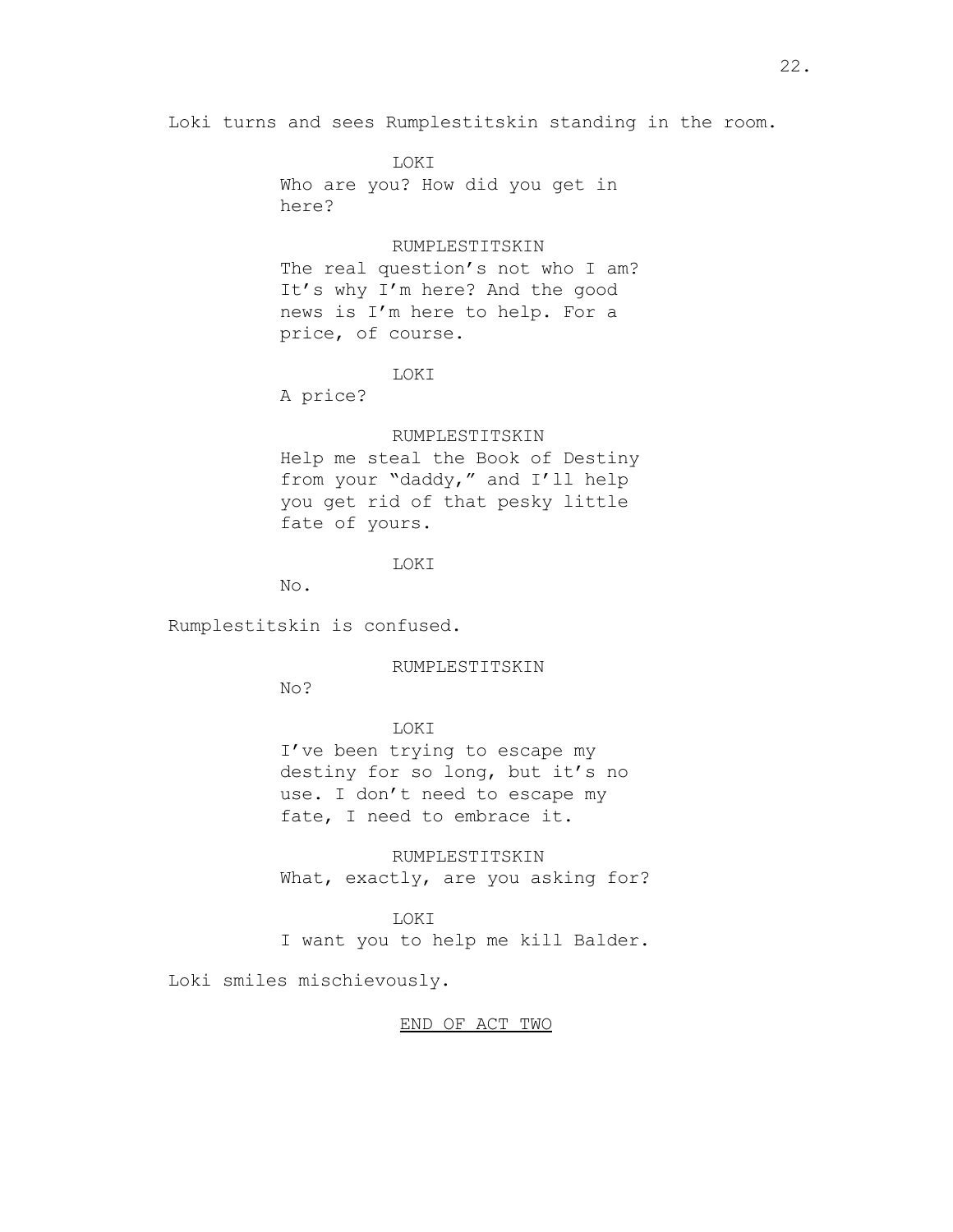Loki turns and sees Rumplestitskin standing in the room.

LOKI Who are you? How did you get in here?

#### RUMPLESTITSKIN

The real question's not who I am? It's why I'm here? And the good news is I'm here to help. For a price, of course.

#### LOKI

A price?

## RUMPLESTITSKIN

Help me steal the Book of Destiny from your "daddy," and I'll help you get rid of that pesky little fate of yours.

# LOKI

No.

Rumplestitskin is confused.

RUMPLESTITSKIN

No?

# LOKI

I've been trying to escape my destiny for so long, but it's no use. I don't need to escape my fate, I need to embrace it.

RUMPLESTITSKIN What, exactly, are you asking for?

## LOKI

I want you to help me kill Balder.

Loki smiles mischievously.

## END OF ACT TWO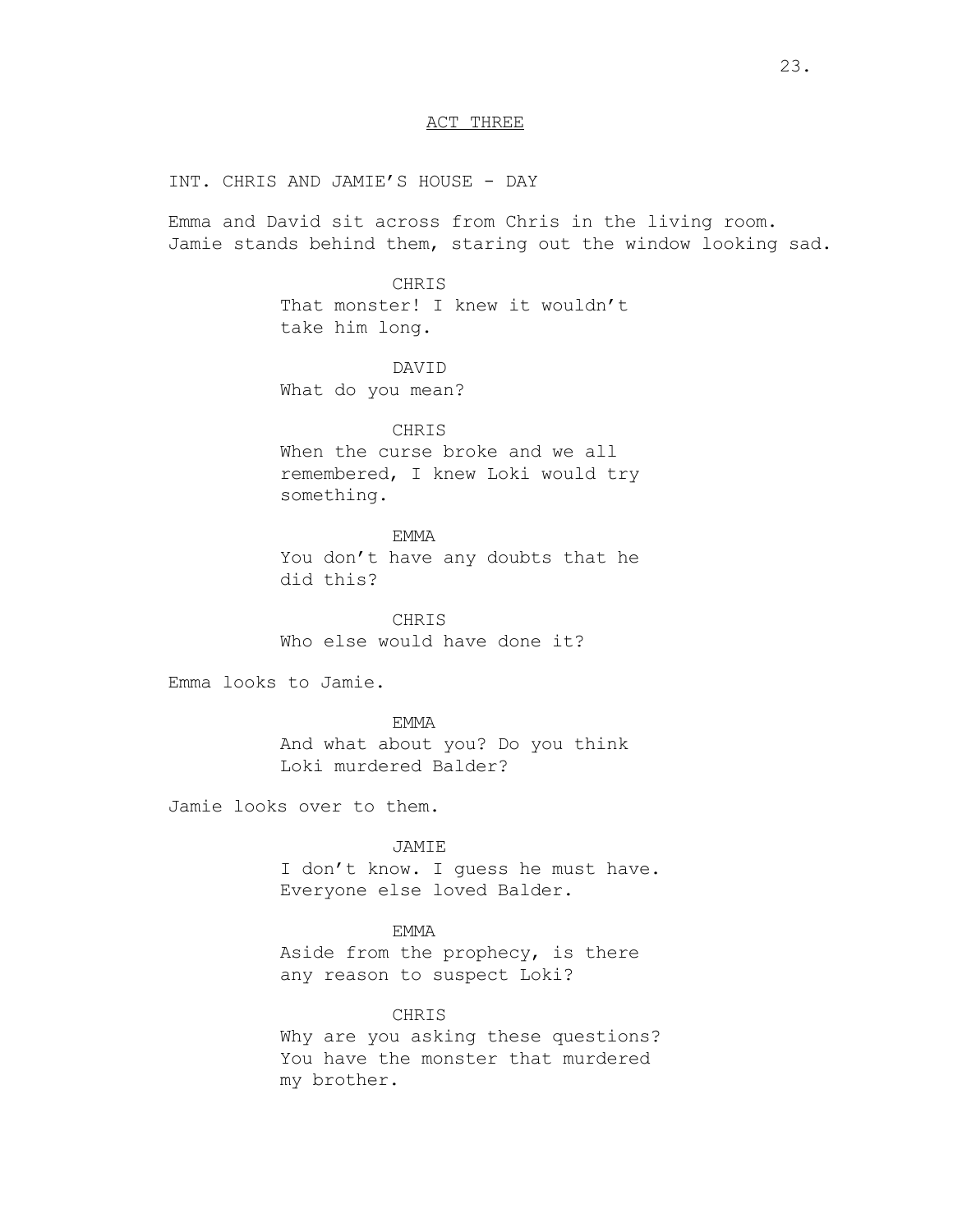## ACT THREE

INT. CHRIS AND JAMIE'S HOUSE - DAY

Emma and David sit across from Chris in the living room. Jamie stands behind them, staring out the window looking sad.

> CHRIS That monster! I knew it wouldn't take him long.

# DAVID

What do you mean?

# CHRIS

When the curse broke and we all remembered, I knew Loki would try something.

# EMMA

You don't have any doubts that he did this?

CHRIS Who else would have done it?

Emma looks to Jamie.

## EMMA

And what about you? Do you think Loki murdered Balder?

Jamie looks over to them.

## JAMIE

I don't know. I guess he must have. Everyone else loved Balder.

# EMMA

Aside from the prophecy, is there any reason to suspect Loki?

## CHRIS

Why are you asking these questions? You have the monster that murdered my brother.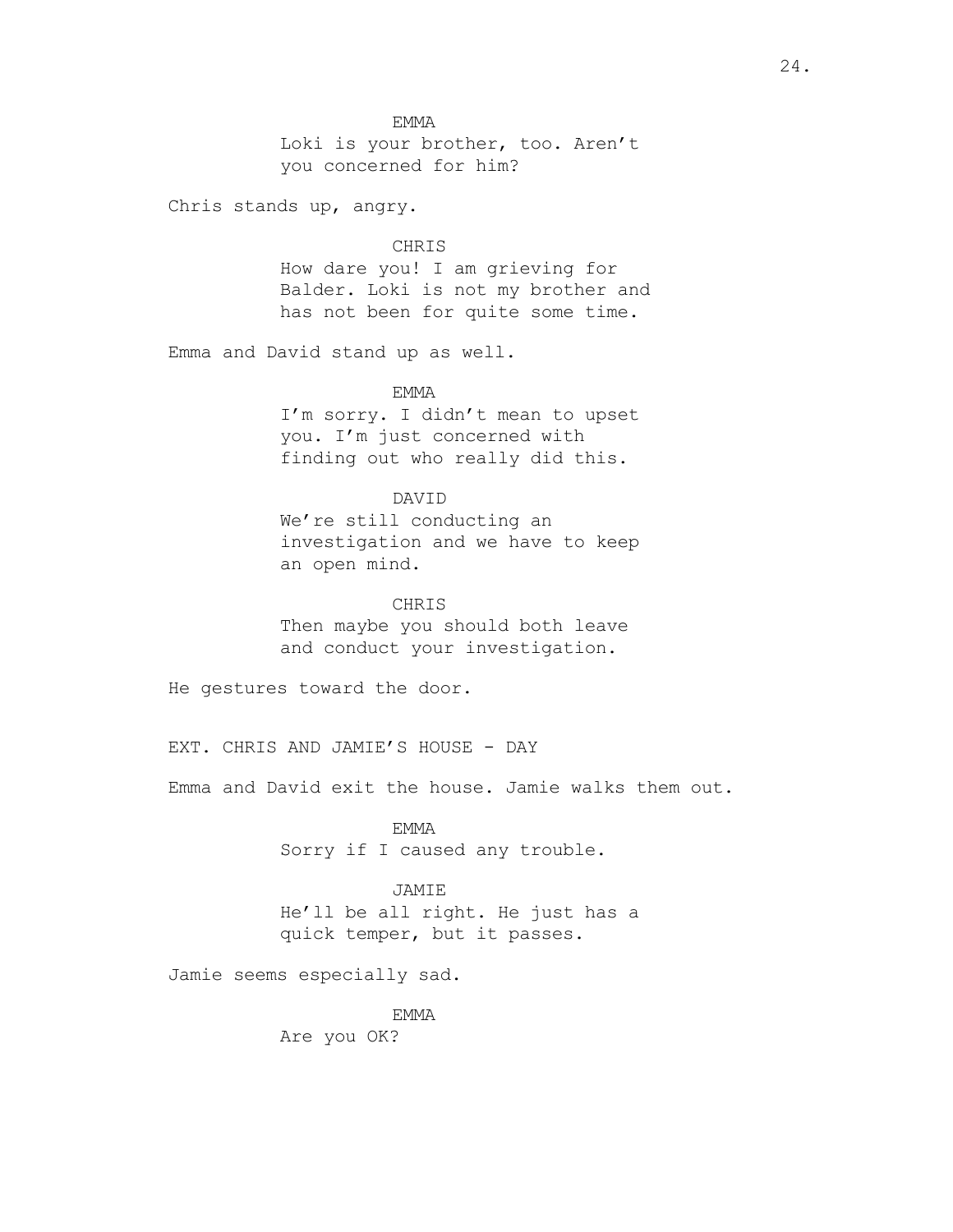EMMA

Loki is your brother, too. Aren't you concerned for him?

Chris stands up, angry.

#### CHRIS

How dare you! I am grieving for Balder. Loki is not my brother and has not been for quite some time.

Emma and David stand up as well.

EMMA

I'm sorry. I didn't mean to upset you. I'm just concerned with finding out who really did this.

# DAVID

We're still conducting an investigation and we have to keep an open mind.

CHRIS

Then maybe you should both leave and conduct your investigation.

He gestures toward the door.

EXT. CHRIS AND JAMIE'S HOUSE - DAY

Emma and David exit the house. Jamie walks them out.

EMMA Sorry if I caused any trouble.

## JAMIE

He'll be all right. He just has a quick temper, but it passes.

Jamie seems especially sad.

EMMA

Are you OK?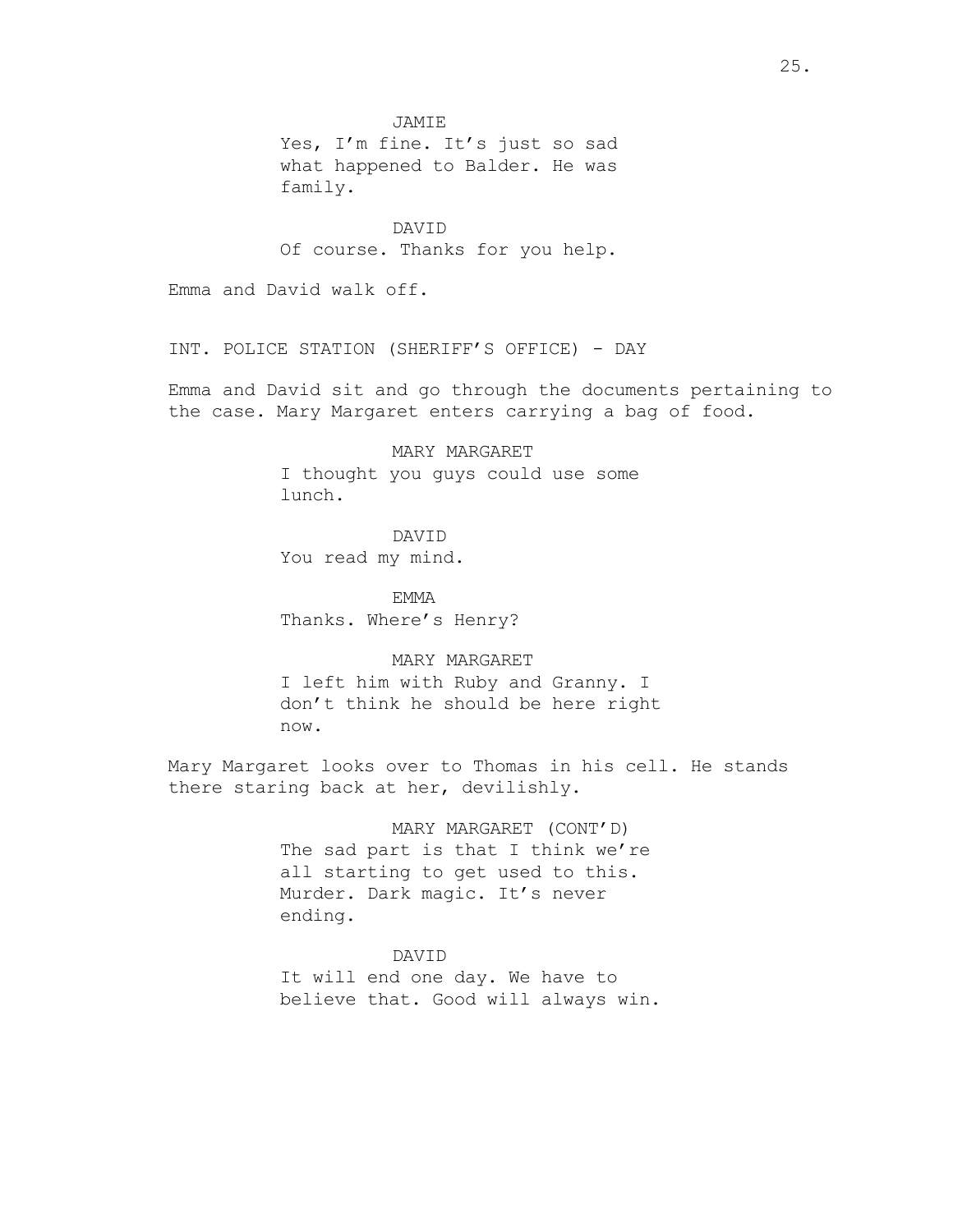JAMIE

Yes, I'm fine. It's just so sad what happened to Balder. He was family.

DAVID Of course. Thanks for you help.

Emma and David walk off.

INT. POLICE STATION (SHERIFF'S OFFICE) - DAY

Emma and David sit and go through the documents pertaining to the case. Mary Margaret enters carrying a bag of food.

> MARY MARGARET I thought you guys could use some lunch.

DAVID You read my mind.

EMMA Thanks. Where's Henry?

MARY MARGARET I left him with Ruby and Granny. I don't think he should be here right now.

Mary Margaret looks over to Thomas in his cell. He stands there staring back at her, devilishly.

> MARY MARGARET (CONT'D) The sad part is that I think we're all starting to get used to this. Murder. Dark magic. It's never ending.

DAVID It will end one day. We have to believe that. Good will always win.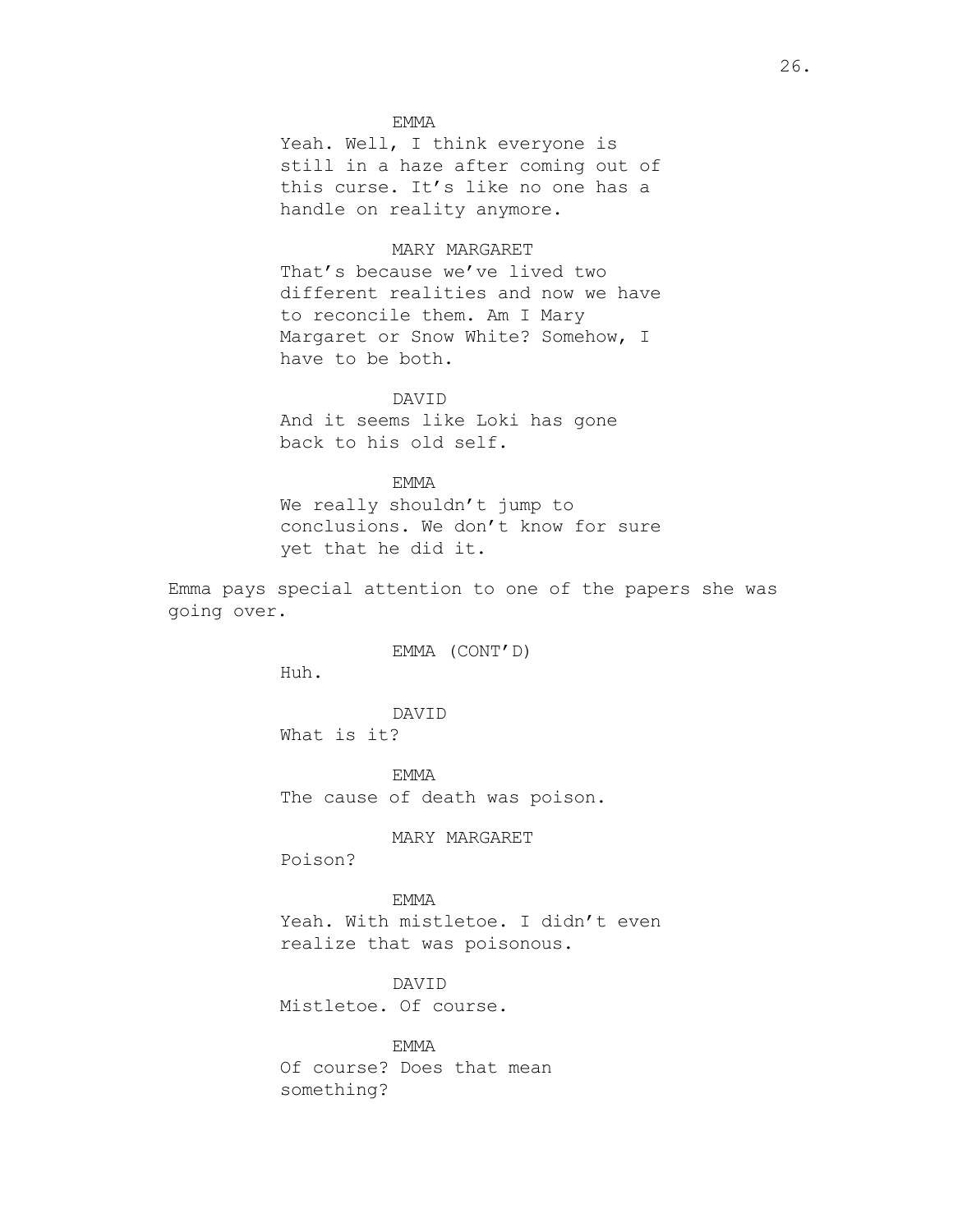## EMMA

Yeah. Well, I think everyone is still in a haze after coming out of this curse. It's like no one has a handle on reality anymore.

## MARY MARGARET

That's because we've lived two different realities and now we have to reconcile them. Am I Mary Margaret or Snow White? Somehow, I have to be both.

## DAVID

And it seems like Loki has gone back to his old self.

## EMMA

We really shouldn't jump to conclusions. We don't know for sure yet that he did it.

Emma pays special attention to one of the papers she was going over.

EMMA (CONT'D)

Huh.

DAVID What is it?

EMMA The cause of death was poison.

# MARY MARGARET

Poison?

# EMMA

Yeah. With mistletoe. I didn't even realize that was poisonous.

# DAVID

Mistletoe. Of course.

# EMMA

Of course? Does that mean something?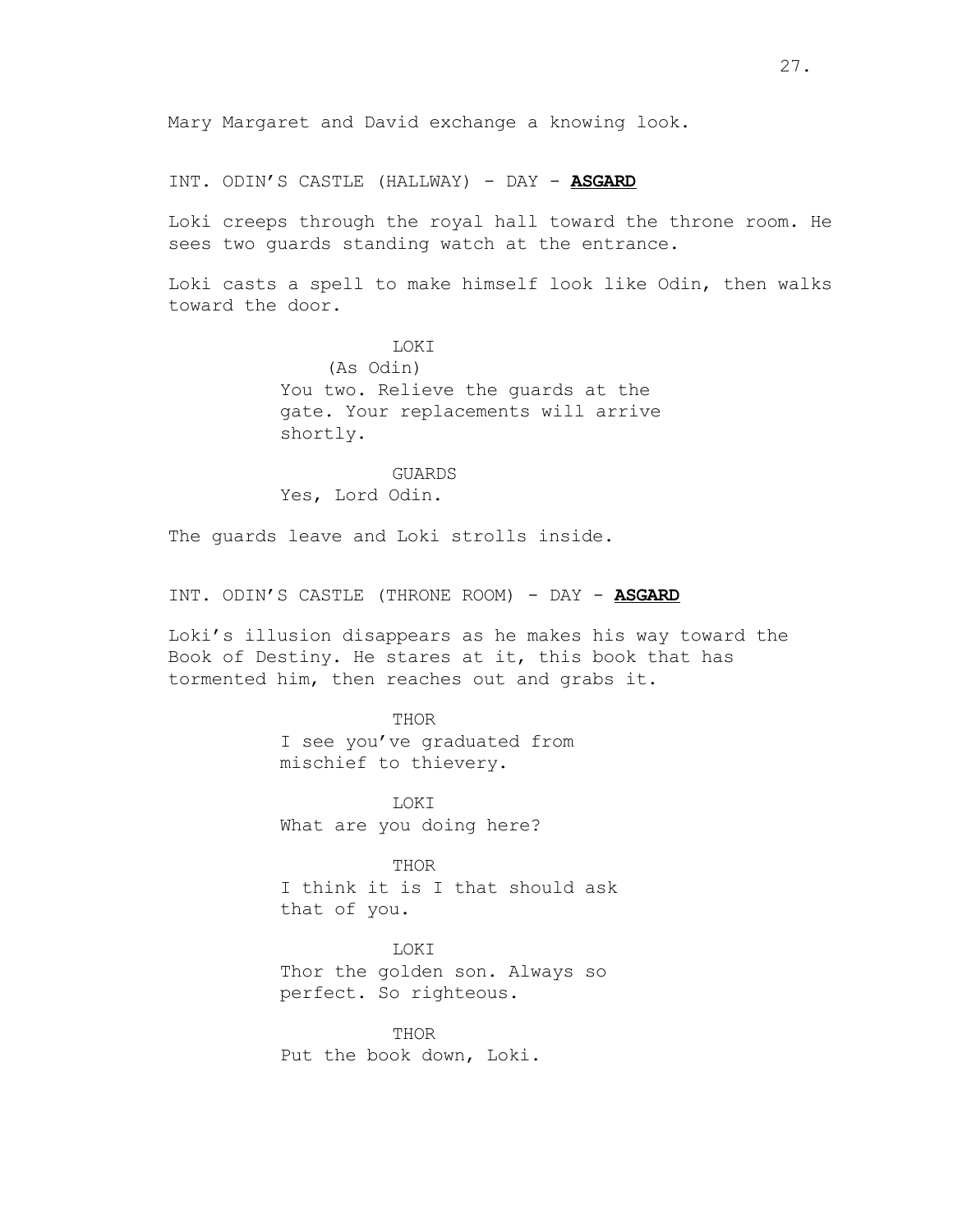Mary Margaret and David exchange a knowing look.

INT. ODIN'S CASTLE (HALLWAY) - DAY - **ASGARD**

Loki creeps through the royal hall toward the throne room. He sees two guards standing watch at the entrance.

Loki casts a spell to make himself look like Odin, then walks toward the door.

> **LOKT** (As Odin) You two. Relieve the guards at the gate. Your replacements will arrive shortly.

GUARDS Yes, Lord Odin.

The guards leave and Loki strolls inside.

INT. ODIN'S CASTLE (THRONE ROOM) - DAY - **ASGARD**

Loki's illusion disappears as he makes his way toward the Book of Destiny. He stares at it, this book that has tormented him, then reaches out and grabs it.

## THOR

I see you've graduated from mischief to thievery.

LOKI What are you doing here?

THOR I think it is I that should ask that of you.

# LOKI

Thor the golden son. Always so perfect. So righteous.

THOR Put the book down, Loki.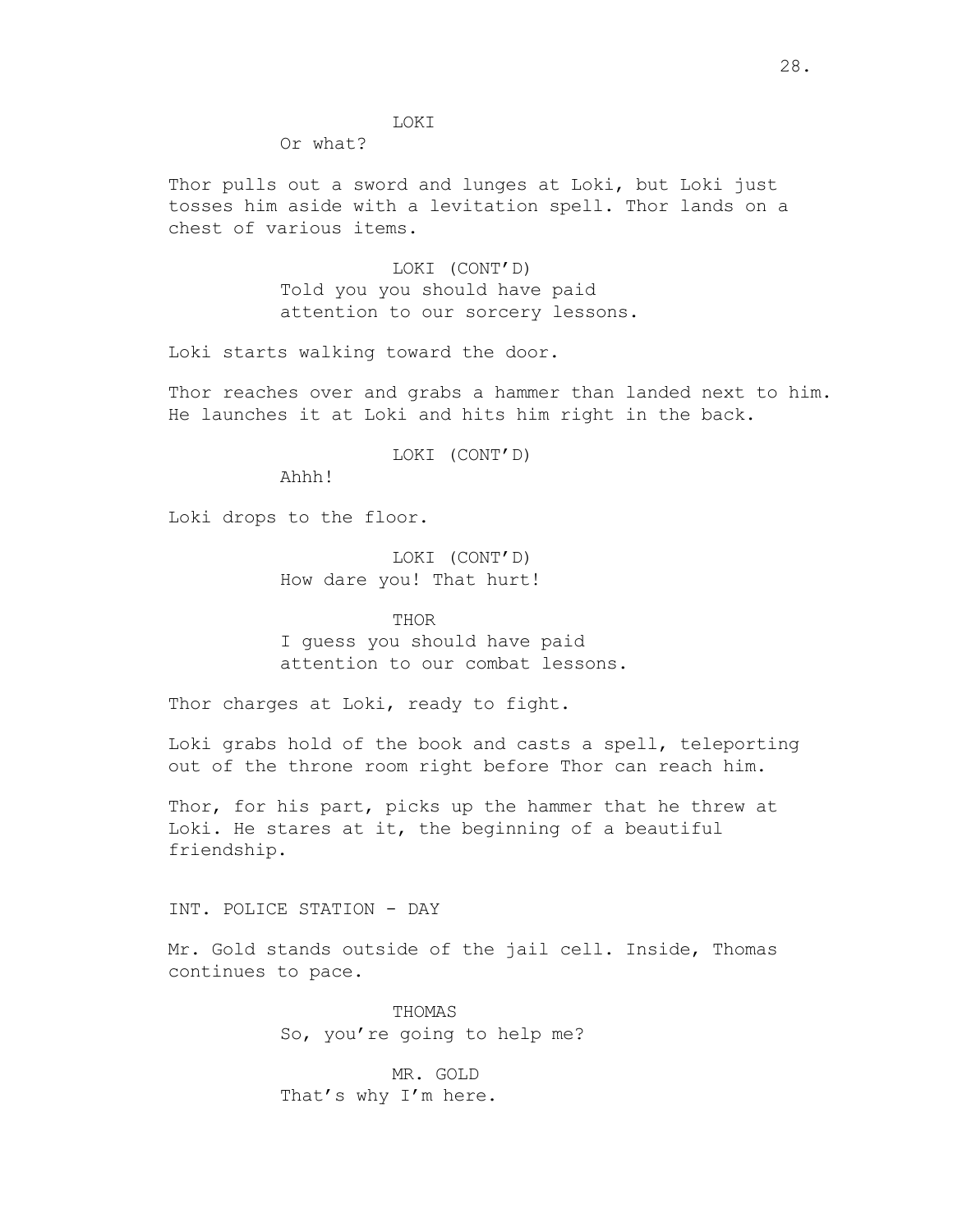## LOKI

Or what?

Thor pulls out a sword and lunges at Loki, but Loki just tosses him aside with a levitation spell. Thor lands on a chest of various items.

> LOKI (CONT'D) Told you you should have paid attention to our sorcery lessons.

Loki starts walking toward the door.

Thor reaches over and grabs a hammer than landed next to him. He launches it at Loki and hits him right in the back.

LOKI (CONT'D)

Ahhh!

Loki drops to the floor.

LOKI (CONT'D) How dare you! That hurt!

THOR

I guess you should have paid attention to our combat lessons.

Thor charges at Loki, ready to fight.

Loki grabs hold of the book and casts a spell, teleporting out of the throne room right before Thor can reach him.

Thor, for his part, picks up the hammer that he threw at Loki. He stares at it, the beginning of a beautiful friendship.

INT. POLICE STATION - DAY

Mr. Gold stands outside of the jail cell. Inside, Thomas continues to pace.

> THOMAS So, you're going to help me?

MR. GOLD That's why I'm here.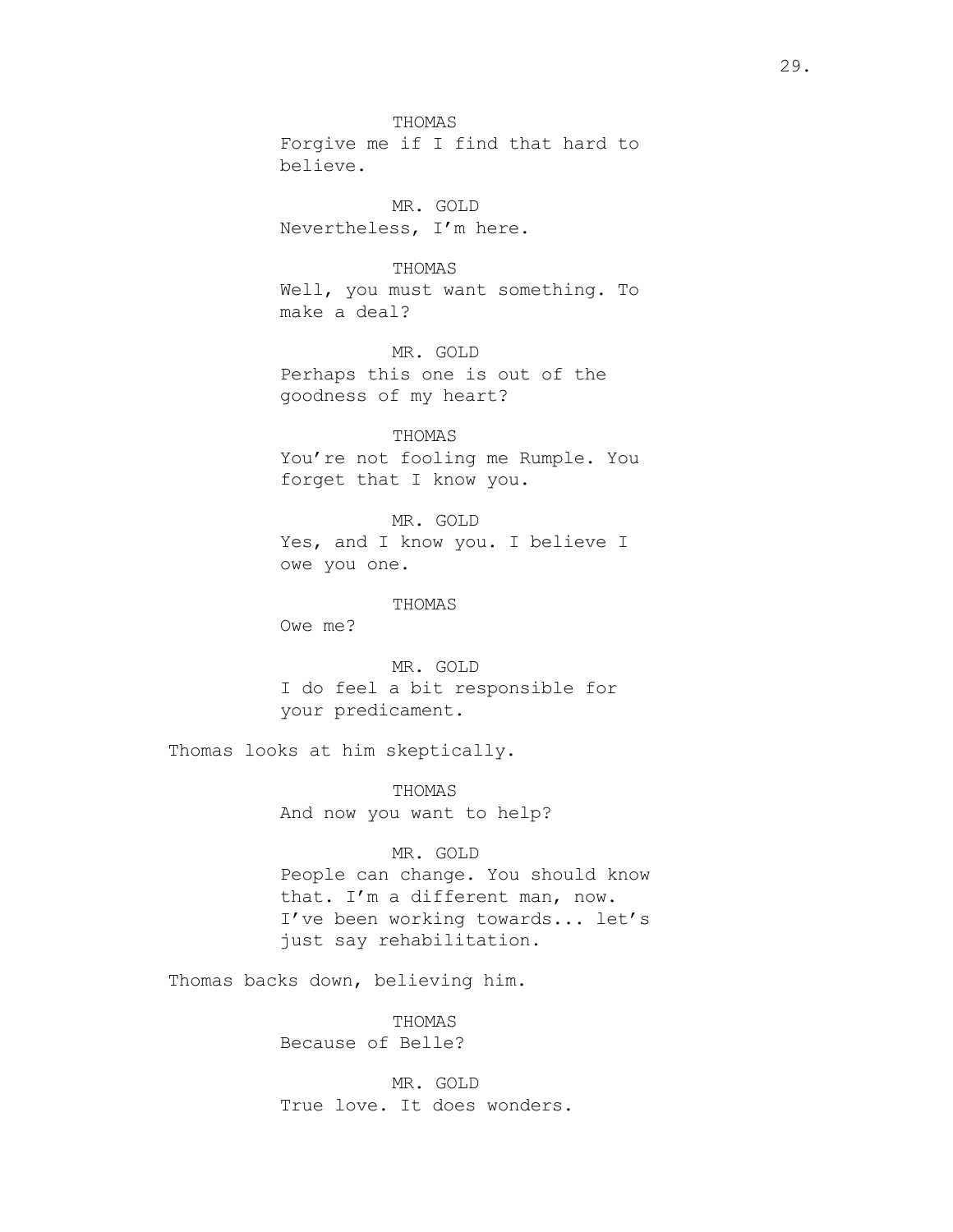THOMAS Forgive me if I find that hard to believe.

MR. GOLD Nevertheless, I'm here.

## THOMAS

Well, you must want something. To make a deal?

MR. GOLD Perhaps this one is out of the goodness of my heart?

THOMAS You're not fooling me Rumple. You forget that I know you.

MR. GOLD Yes, and I know you. I believe I owe you one.

#### THOMAS

Owe me?

MR. GOLD I do feel a bit responsible for your predicament.

Thomas looks at him skeptically.

THOMAS And now you want to help?

## MR. GOLD

People can change. You should know that. I'm a different man, now. I've been working towards... let's just say rehabilitation.

Thomas backs down, believing him.

THOMAS Because of Belle?

MR. GOLD True love. It does wonders.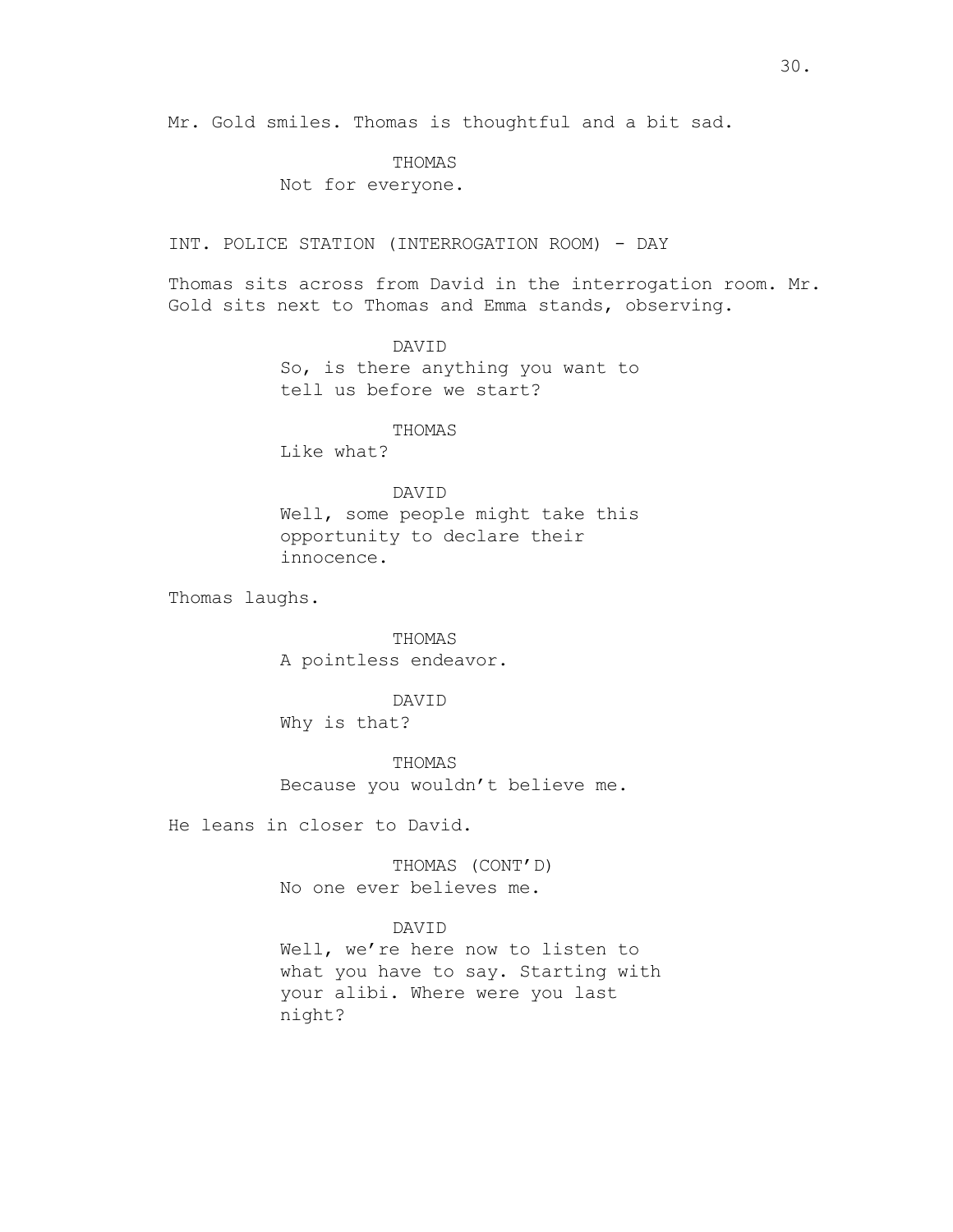# THOMAS

# Not for everyone.

INT. POLICE STATION (INTERROGATION ROOM) - DAY

Thomas sits across from David in the interrogation room. Mr. Gold sits next to Thomas and Emma stands, observing.

> DAVID So, is there anything you want to tell us before we start?

> > THOMAS

Like what?

## DAVID

Well, some people might take this opportunity to declare their innocence.

Thomas laughs.

THOMAS A pointless endeavor.

DAVID

Why is that?

THOMAS Because you wouldn't believe me.

He leans in closer to David.

THOMAS (CONT'D) No one ever believes me.

## DAVID

Well, we're here now to listen to what you have to say. Starting with your alibi. Where were you last night?

30.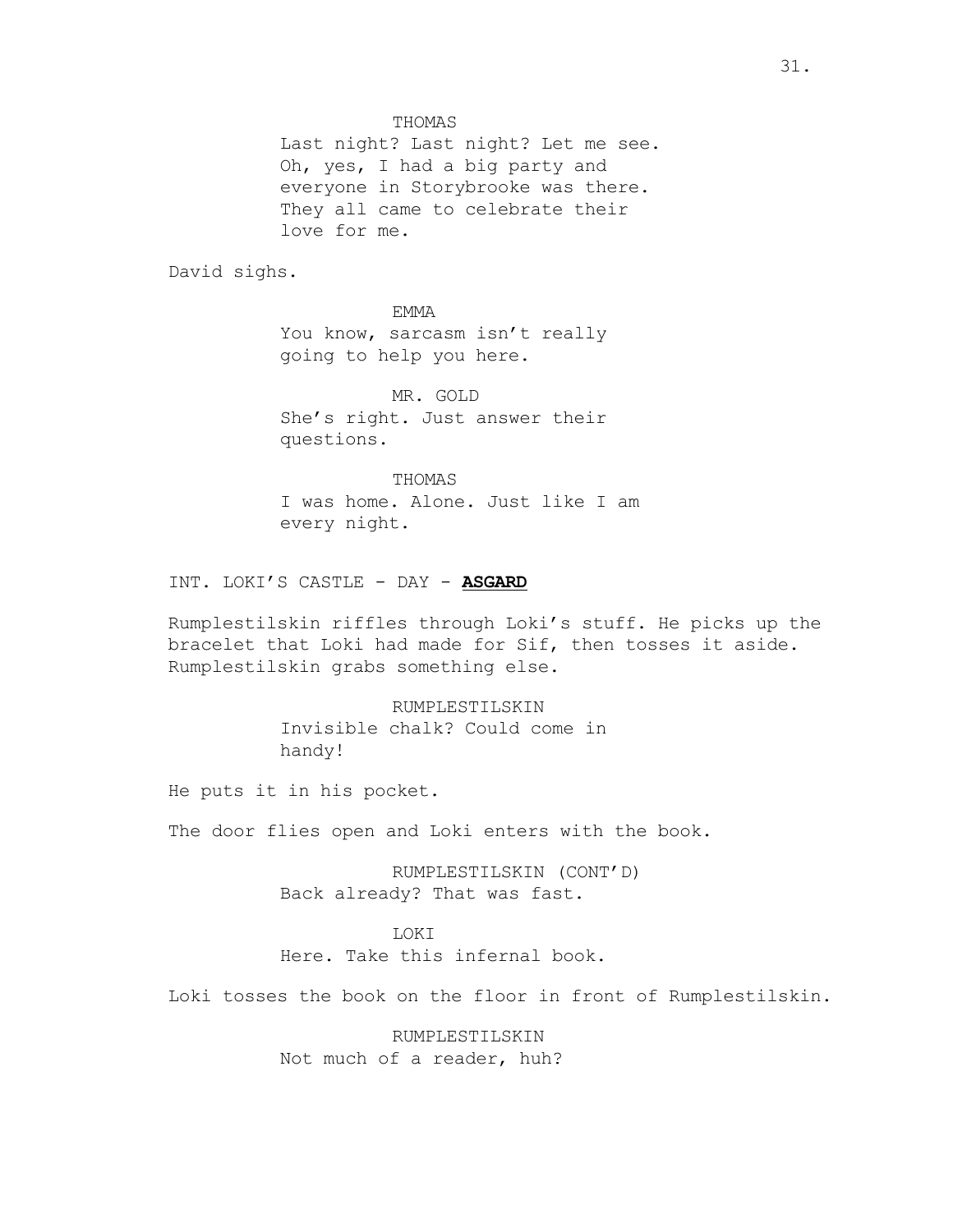THOMAS

Last night? Last night? Let me see. Oh, yes, I had a big party and everyone in Storybrooke was there. They all came to celebrate their love for me.

David sighs.

EMMA You know, sarcasm isn't really going to help you here.

MR. GOLD She's right. Just answer their questions.

THOMAS I was home. Alone. Just like I am every night.

INT. LOKI'S CASTLE - DAY - **ASGARD**

Rumplestilskin riffles through Loki's stuff. He picks up the bracelet that Loki had made for Sif, then tosses it aside. Rumplestilskin grabs something else.

> RUMPLESTILSKIN Invisible chalk? Could come in handy!

He puts it in his pocket.

The door flies open and Loki enters with the book.

RUMPLESTILSKIN (CONT'D) Back already? That was fast.

**LOKT** 

Here. Take this infernal book.

Loki tosses the book on the floor in front of Rumplestilskin.

RUMPLESTILSKIN Not much of a reader, huh?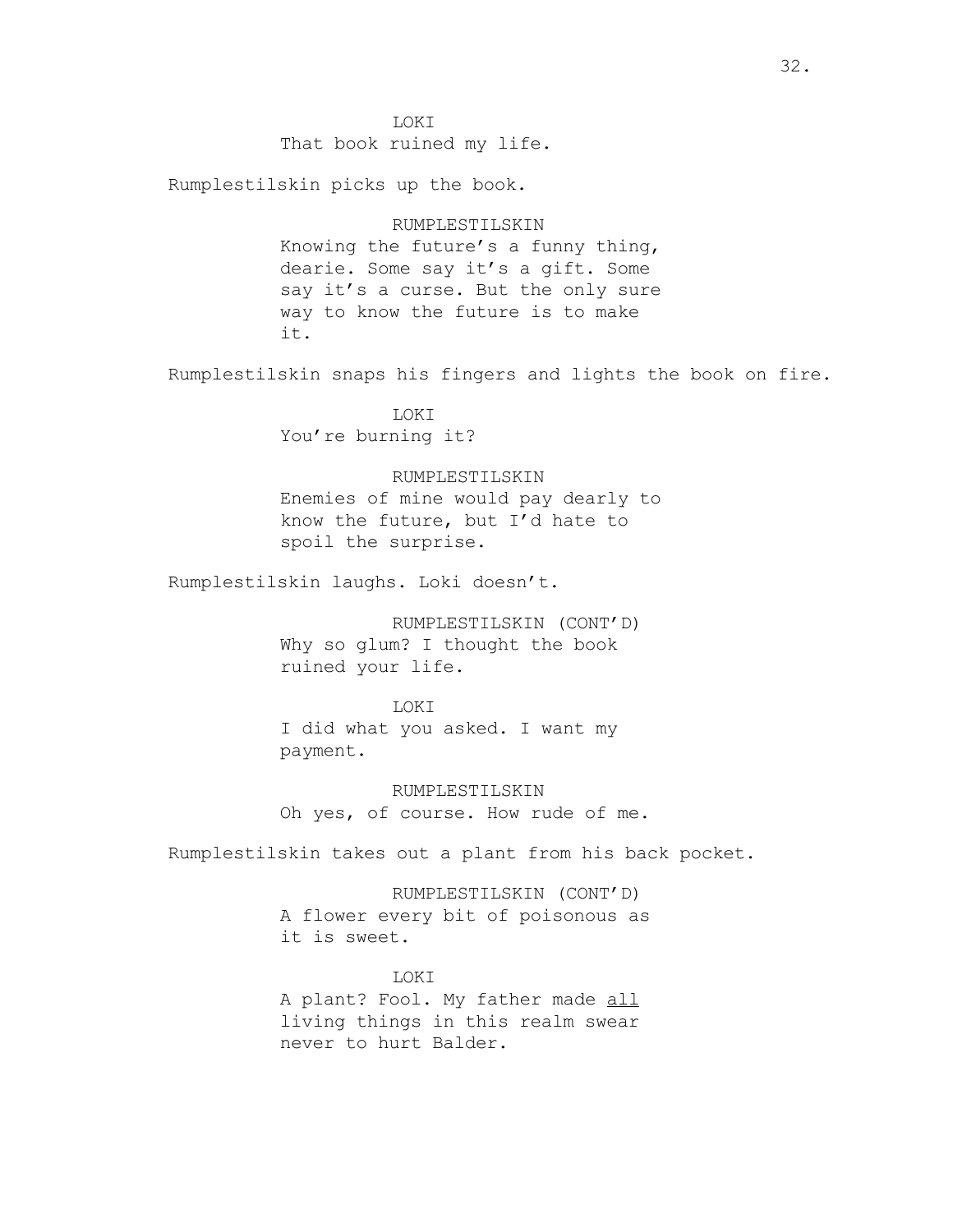LOKI That book ruined my life.

Rumplestilskin picks up the book.

# RUMPLESTILSKIN

Knowing the future's a funny thing, dearie. Some say it's a gift. Some say it's a curse. But the only sure way to know the future is to make it.

Rumplestilskin snaps his fingers and lights the book on fire.

LOKI You're burning it?

## RUMPLESTILSKIN

Enemies of mine would pay dearly to know the future, but I'd hate to spoil the surprise.

Rumplestilskin laughs. Loki doesn't.

RUMPLESTILSKIN (CONT'D) Why so glum? I thought the book ruined your life.

## LOKI

I did what you asked. I want my payment.

RUMPLESTILSKIN Oh yes, of course. How rude of me.

Rumplestilskin takes out a plant from his back pocket.

RUMPLESTILSKIN (CONT'D) A flower every bit of poisonous as it is sweet.

LOKI A plant? Fool. My father made all living things in this realm swear never to hurt Balder.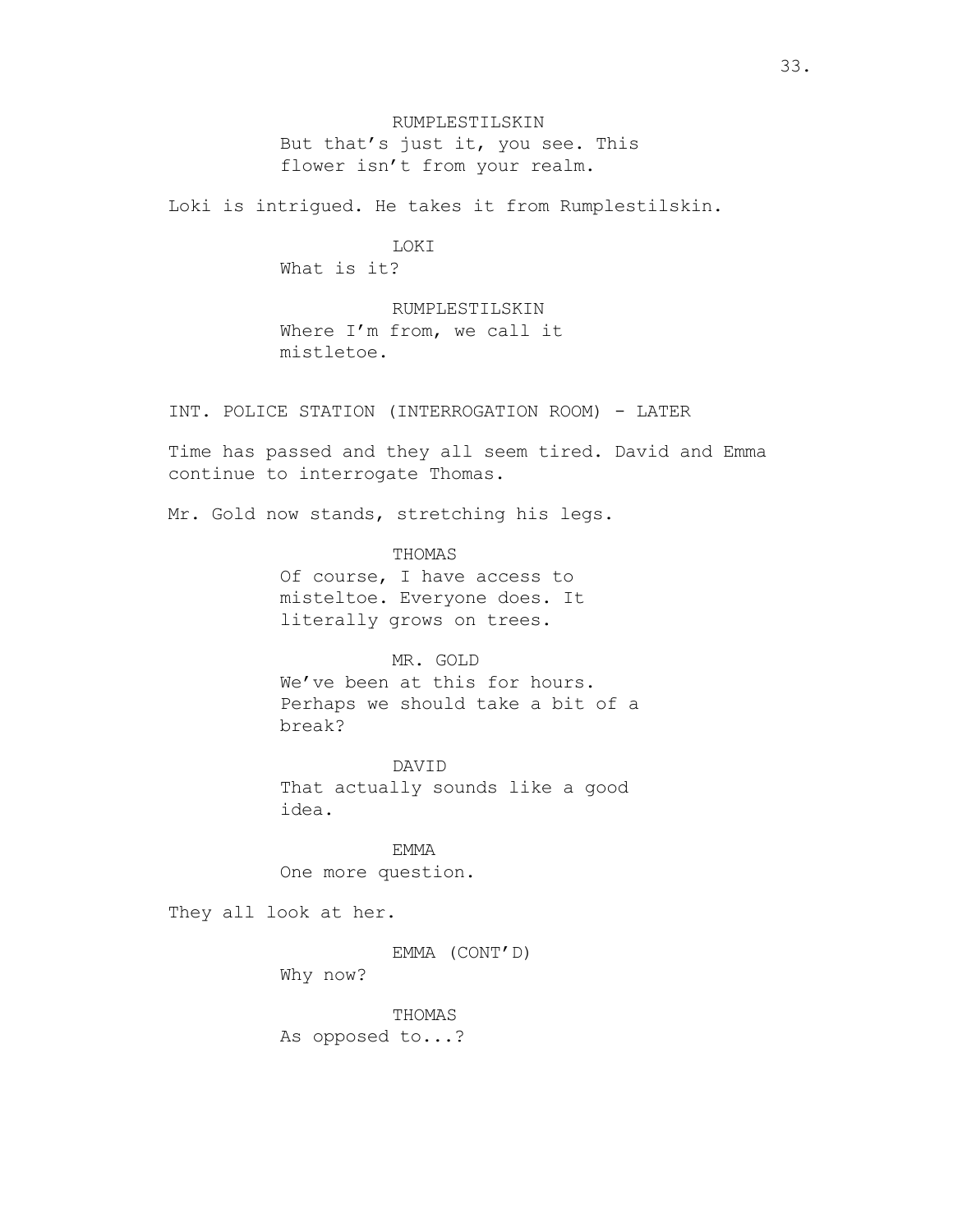RUMPLESTILSKIN But that's just it, you see. This flower isn't from your realm.

Loki is intrigued. He takes it from Rumplestilskin.

# LOKI

What is it?

RUMPLESTILSKIN Where I'm from, we call it mistletoe.

INT. POLICE STATION (INTERROGATION ROOM) - LATER

Time has passed and they all seem tired. David and Emma continue to interrogate Thomas.

Mr. Gold now stands, stretching his legs.

THOMAS

Of course, I have access to misteltoe. Everyone does. It literally grows on trees.

# MR. GOLD

We've been at this for hours. Perhaps we should take a bit of a break?

DAVID That actually sounds like a good idea.

EMMA One more question.

They all look at her.

EMMA (CONT'D)

Why now?

THOMAS As opposed to...?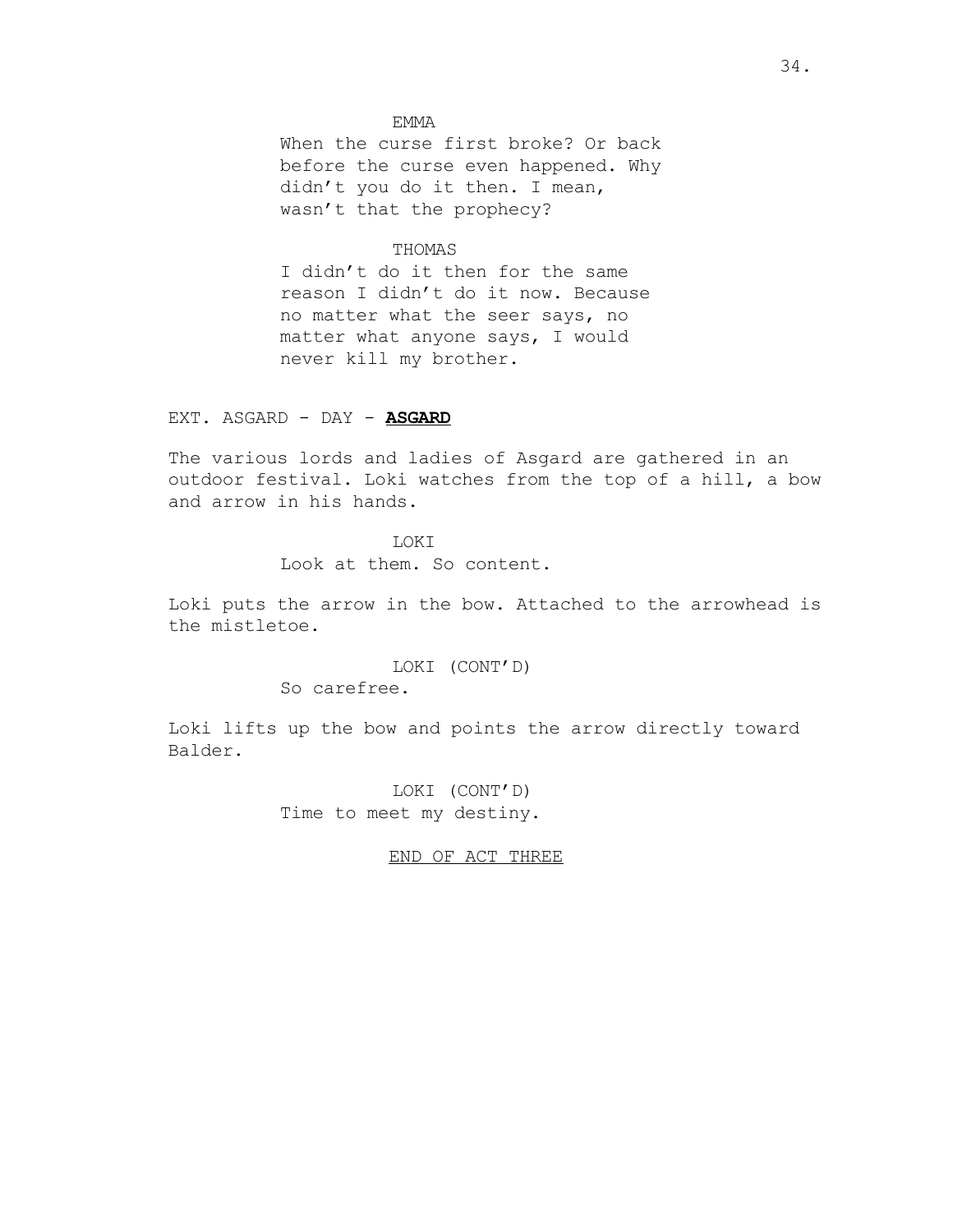## EMMA

When the curse first broke? Or back before the curse even happened. Why didn't you do it then. I mean, wasn't that the prophecy?

# THOMAS

I didn't do it then for the same reason I didn't do it now. Because no matter what the seer says, no matter what anyone says, I would never kill my brother.

## EXT. ASGARD - DAY - **ASGARD**

The various lords and ladies of Asgard are gathered in an outdoor festival. Loki watches from the top of a hill, a bow and arrow in his hands.

# LOKI

Look at them. So content.

Loki puts the arrow in the bow. Attached to the arrowhead is the mistletoe.

# LOKI (CONT'D)

So carefree.

Loki lifts up the bow and points the arrow directly toward Balder.

> LOKI (CONT'D) Time to meet my destiny.

## END OF ACT THREE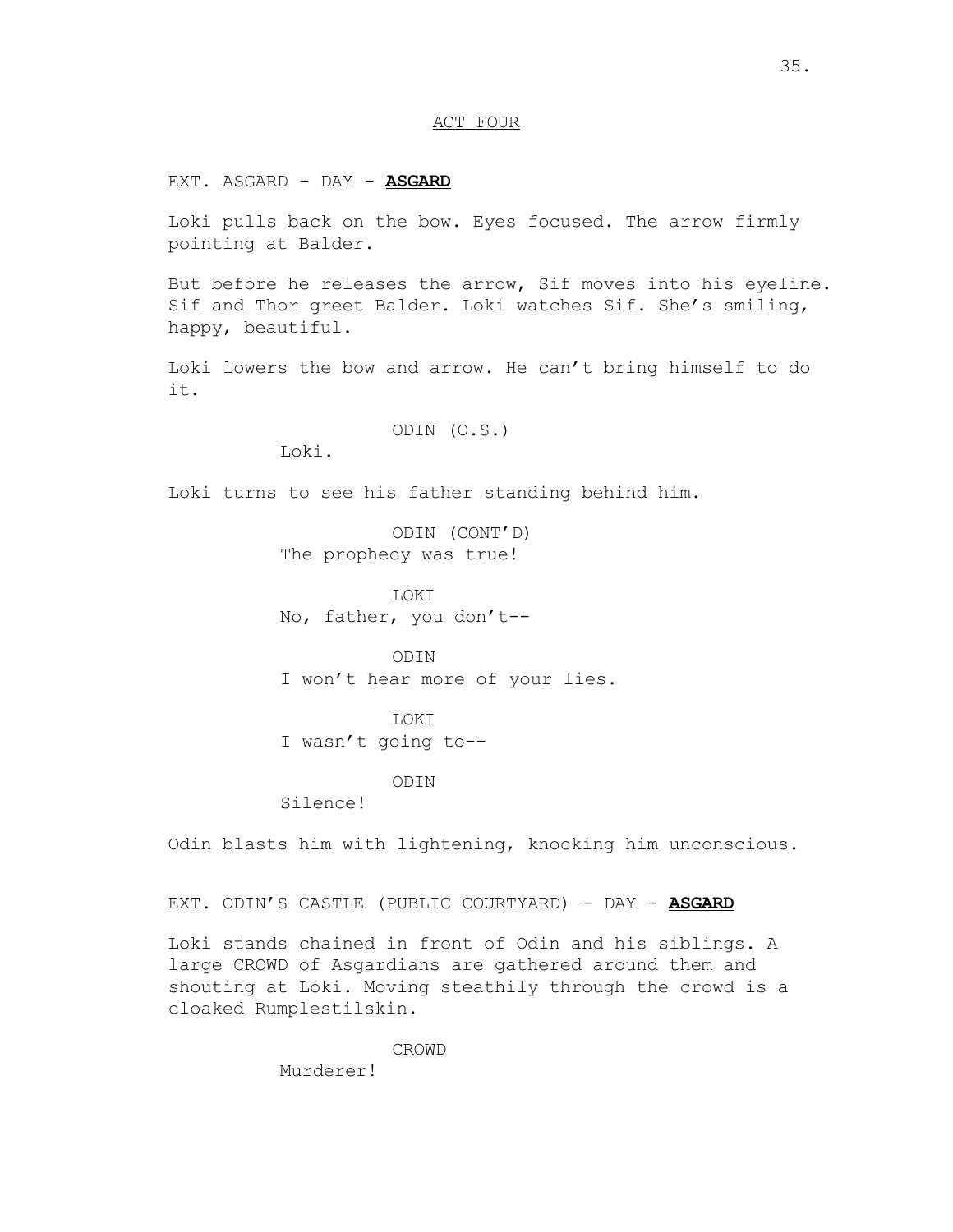## ACT FOUR

EXT. ASGARD - DAY - **ASGARD**

Loki pulls back on the bow. Eyes focused. The arrow firmly pointing at Balder.

But before he releases the arrow, Sif moves into his eyeline. Sif and Thor greet Balder. Loki watches Sif. She's smiling, happy, beautiful.

Loki lowers the bow and arrow. He can't bring himself to do it.

ODIN (O.S.)

Loki.

Loki turns to see his father standing behind him.

ODIN (CONT'D) The prophecy was true!

LOKI No, father, you don't--

ODIN I won't hear more of your lies.

LOKI I wasn't going to--

# ODIN

Silence!

Odin blasts him with lightening, knocking him unconscious.

EXT. ODIN'S CASTLE (PUBLIC COURTYARD) - DAY - **ASGARD**

Loki stands chained in front of Odin and his siblings. A large CROWD of Asgardians are gathered around them and shouting at Loki. Moving steathily through the crowd is a cloaked Rumplestilskin.

CROWD

Murderer!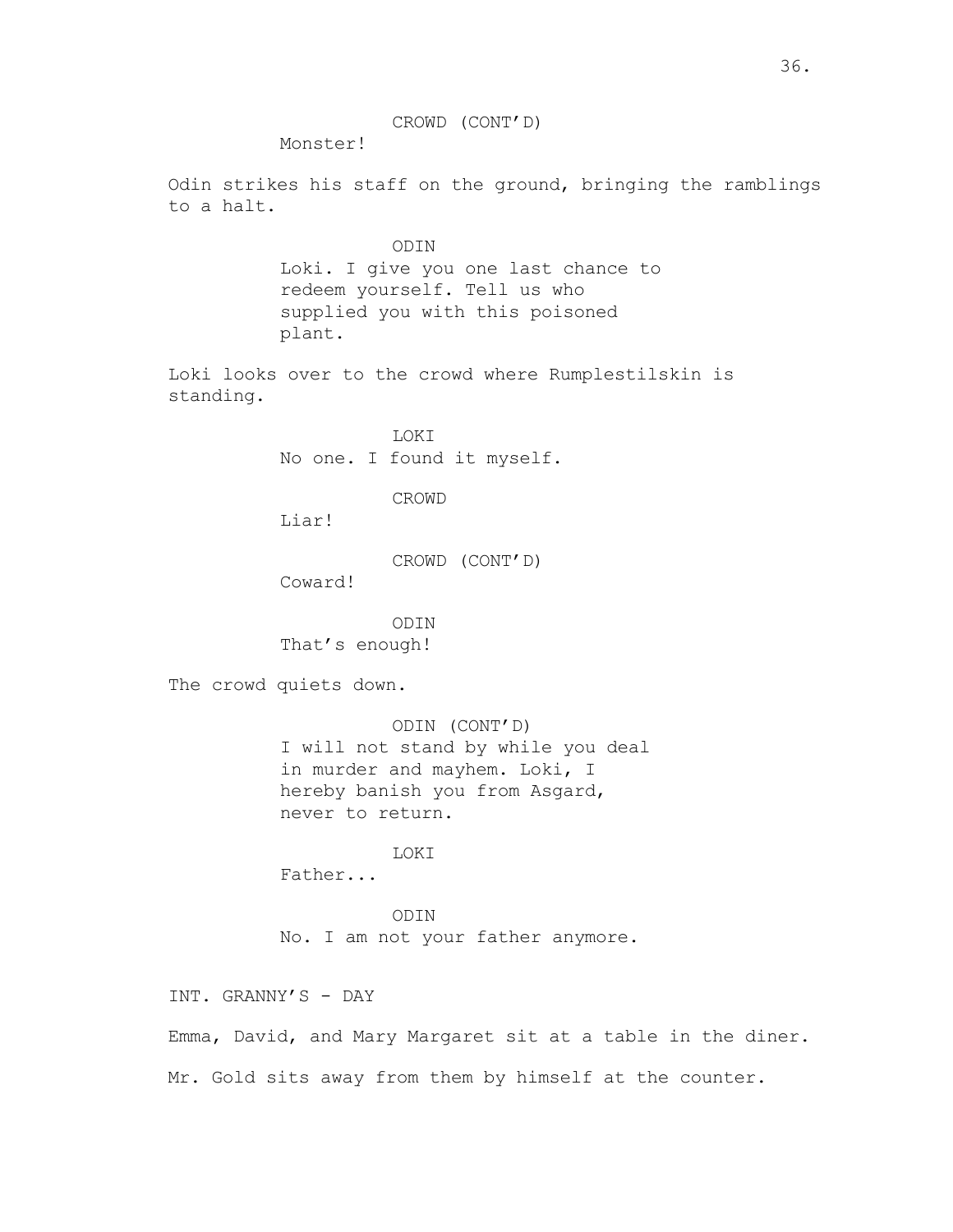CROWD (CONT'D)

Monster!

Odin strikes his staff on the ground, bringing the ramblings to a halt.

```
ODIN
Loki. I give you one last chance to 
redeem yourself. Tell us who 
supplied you with this poisoned 
plant.
```
Loki looks over to the crowd where Rumplestilskin is standing.

> LOKI No one. I found it myself.

> > CROWD

Liar!

```
CROWD (CONT'D)
```
Coward!

ODIN That's enough!

The crowd quiets down.

ODIN (CONT'D) I will not stand by while you deal in murder and mayhem. Loki, I hereby banish you from Asgard, never to return.

LOKI

Father...

ODIN No. I am not your father anymore.

INT. GRANNY'S - DAY

Emma, David, and Mary Margaret sit at a table in the diner. Mr. Gold sits away from them by himself at the counter.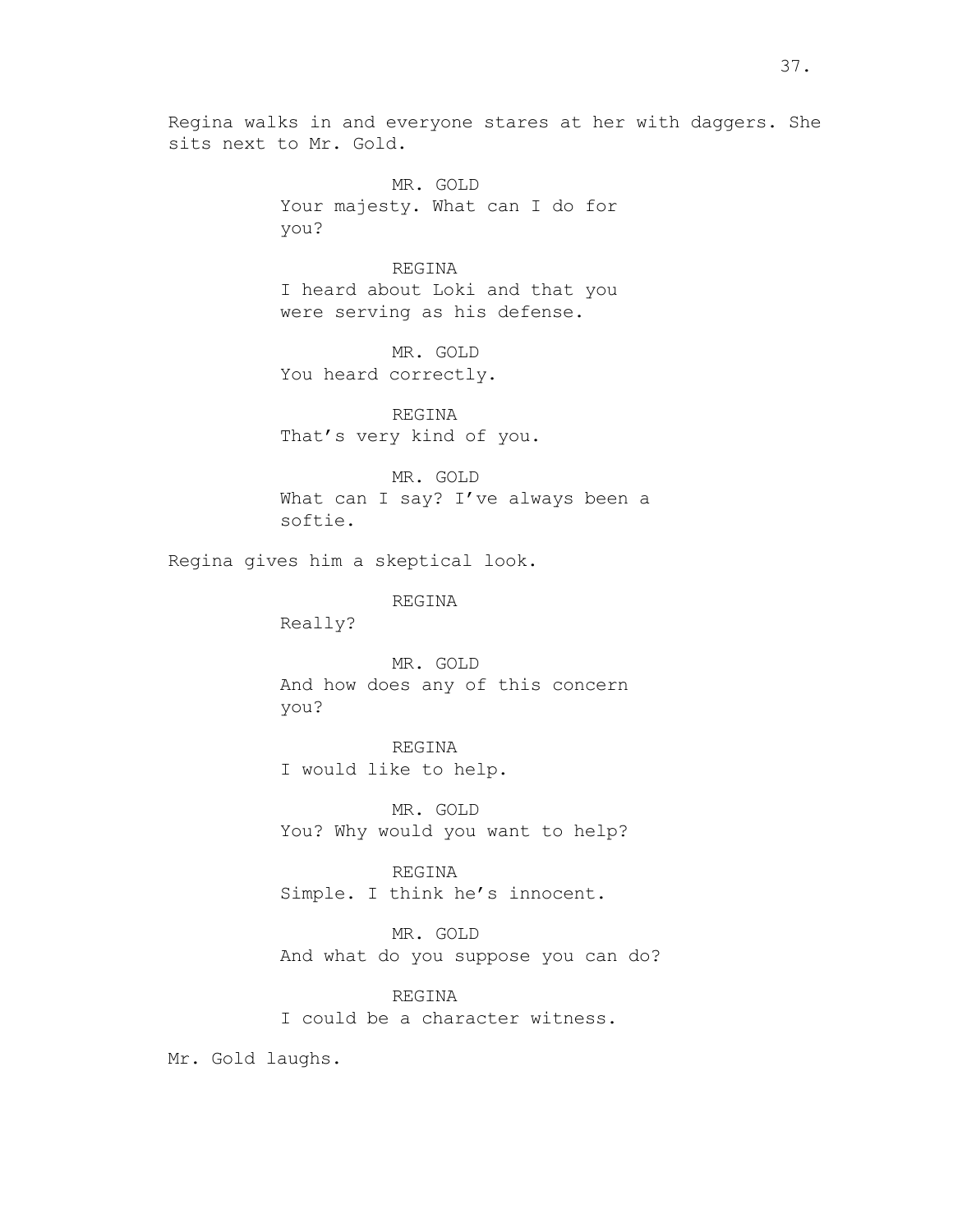Regina walks in and everyone stares at her with daggers. She sits next to Mr. Gold.

> MR. GOLD Your majesty. What can I do for you?

# REGINA

I heard about Loki and that you were serving as his defense.

MR. GOLD You heard correctly.

REGINA That's very kind of you.

MR. GOLD What can I say? I've always been a softie.

Regina gives him a skeptical look.

REGINA

Really?

MR. GOLD And how does any of this concern you?

REGINA I would like to help.

MR. GOLD You? Why would you want to help?

REGINA Simple. I think he's innocent.

MR. GOLD And what do you suppose you can do?

REGINA I could be a character witness.

Mr. Gold laughs.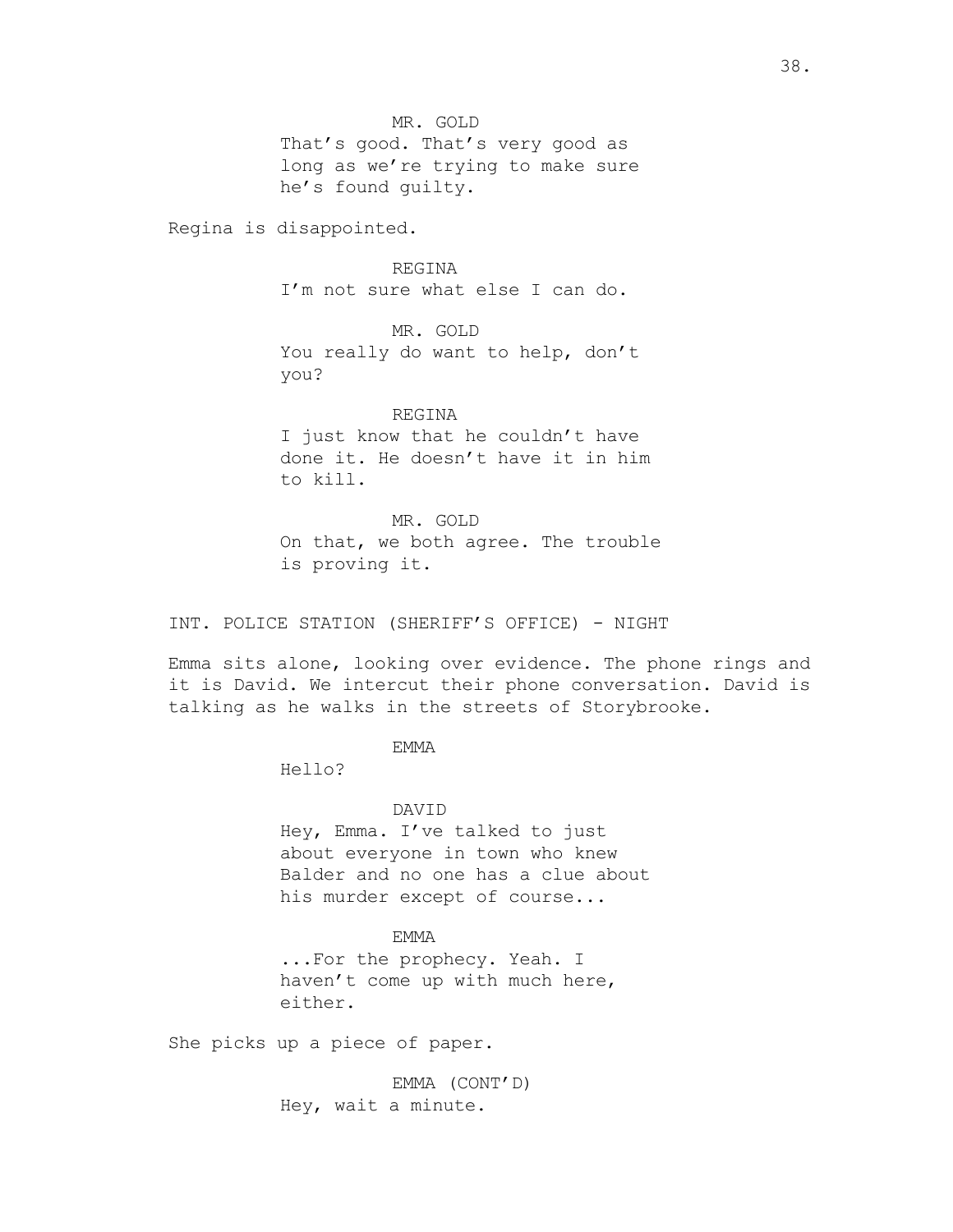That's good. That's very good as long as we're trying to make sure he's found guilty.

Regina is disappointed.

REGINA I'm not sure what else I can do.

MR. GOLD You really do want to help, don't you?

REGINA I just know that he couldn't have done it. He doesn't have it in him to kill.

MR. GOLD On that, we both agree. The trouble is proving it.

INT. POLICE STATION (SHERIFF'S OFFICE) - NIGHT

Emma sits alone, looking over evidence. The phone rings and it is David. We intercut their phone conversation. David is talking as he walks in the streets of Storybrooke.

EMMA

Hello?

DAVID

Hey, Emma. I've talked to just about everyone in town who knew Balder and no one has a clue about his murder except of course...

# EMMA

...For the prophecy. Yeah. I haven't come up with much here, either.

She picks up a piece of paper.

EMMA (CONT'D) Hey, wait a minute.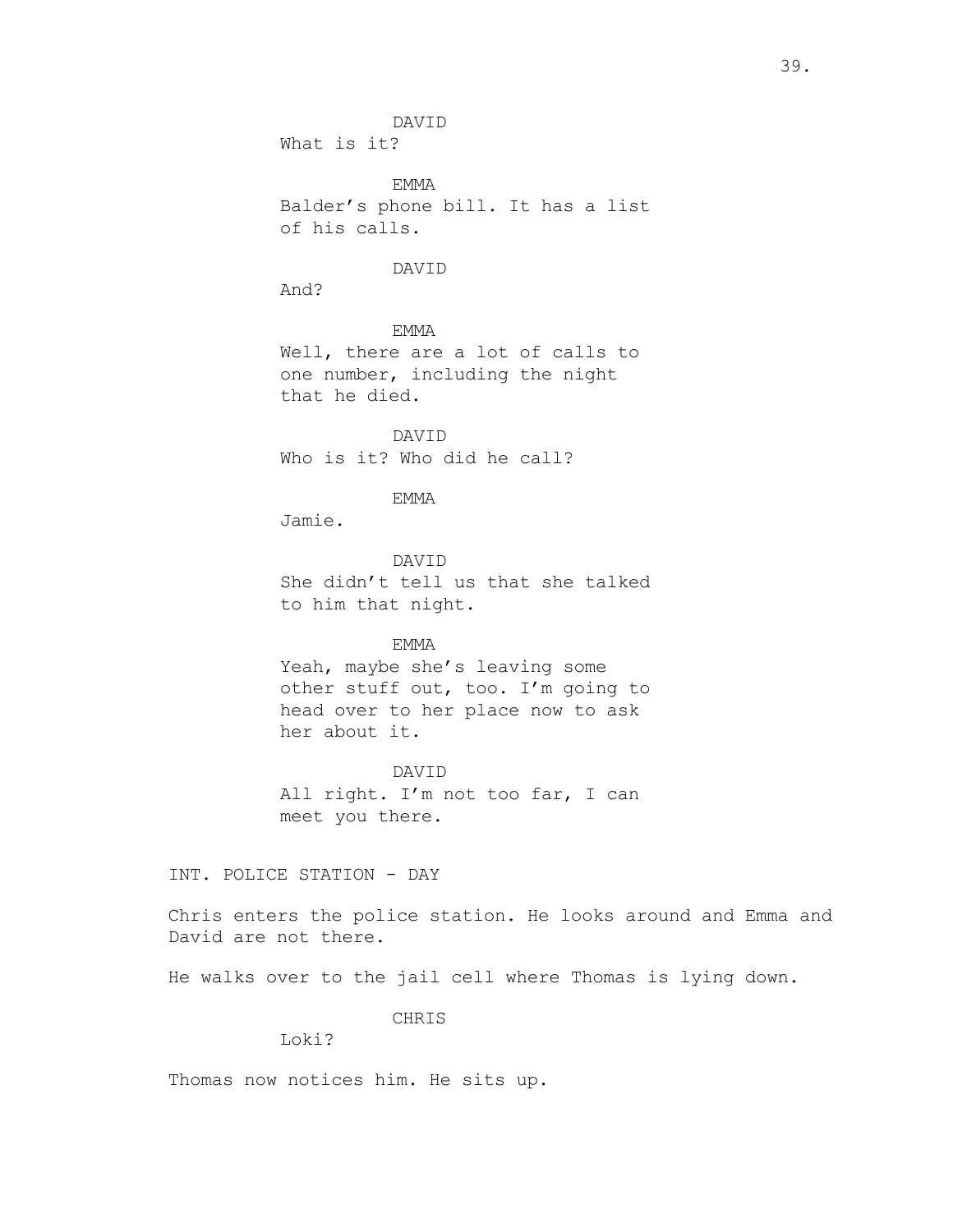DAVID

What is it?

EMMA Balder's phone bill. It has a list of his calls.

## DAVID

And?

EMMA

Well, there are a lot of calls to one number, including the night that he died.

DAVID Who is it? Who did he call?

# EMMA

Jamie.

DAVID She didn't tell us that she talked to him that night.

EMMA

Yeah, maybe she's leaving some other stuff out, too. I'm going to head over to her place now to ask her about it.

DAVID All right. I'm not too far, I can meet you there.

INT. POLICE STATION - DAY

Chris enters the police station. He looks around and Emma and David are not there.

He walks over to the jail cell where Thomas is lying down.

CHRIS

Loki?

Thomas now notices him. He sits up.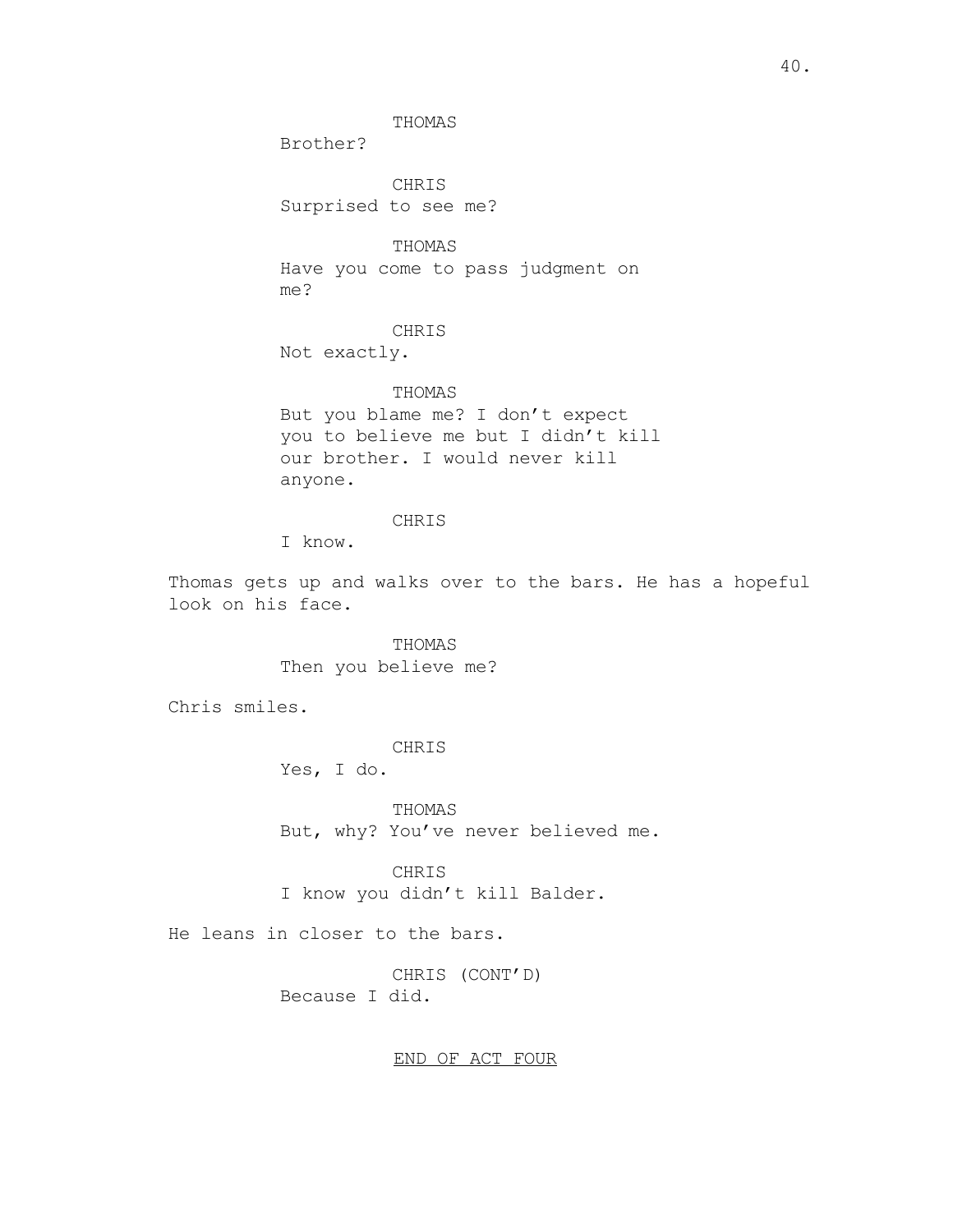Brother?

CHRIS Surprised to see me?

THOMAS

THOMAS Have you come to pass judgment on me?

## CHRIS

Not exactly.

THOMAS But you blame me? I don't expect you to believe me but I didn't kill our brother. I would never kill anyone.

## CHRIS

I know.

Thomas gets up and walks over to the bars. He has a hopeful look on his face.

> THOMAS Then you believe me?

Chris smiles.

CHRIS

Yes, I do.

THOMAS But, why? You've never believed me.

CHRIS I know you didn't kill Balder.

He leans in closer to the bars.

CHRIS (CONT'D) Because I did.

END OF ACT FOUR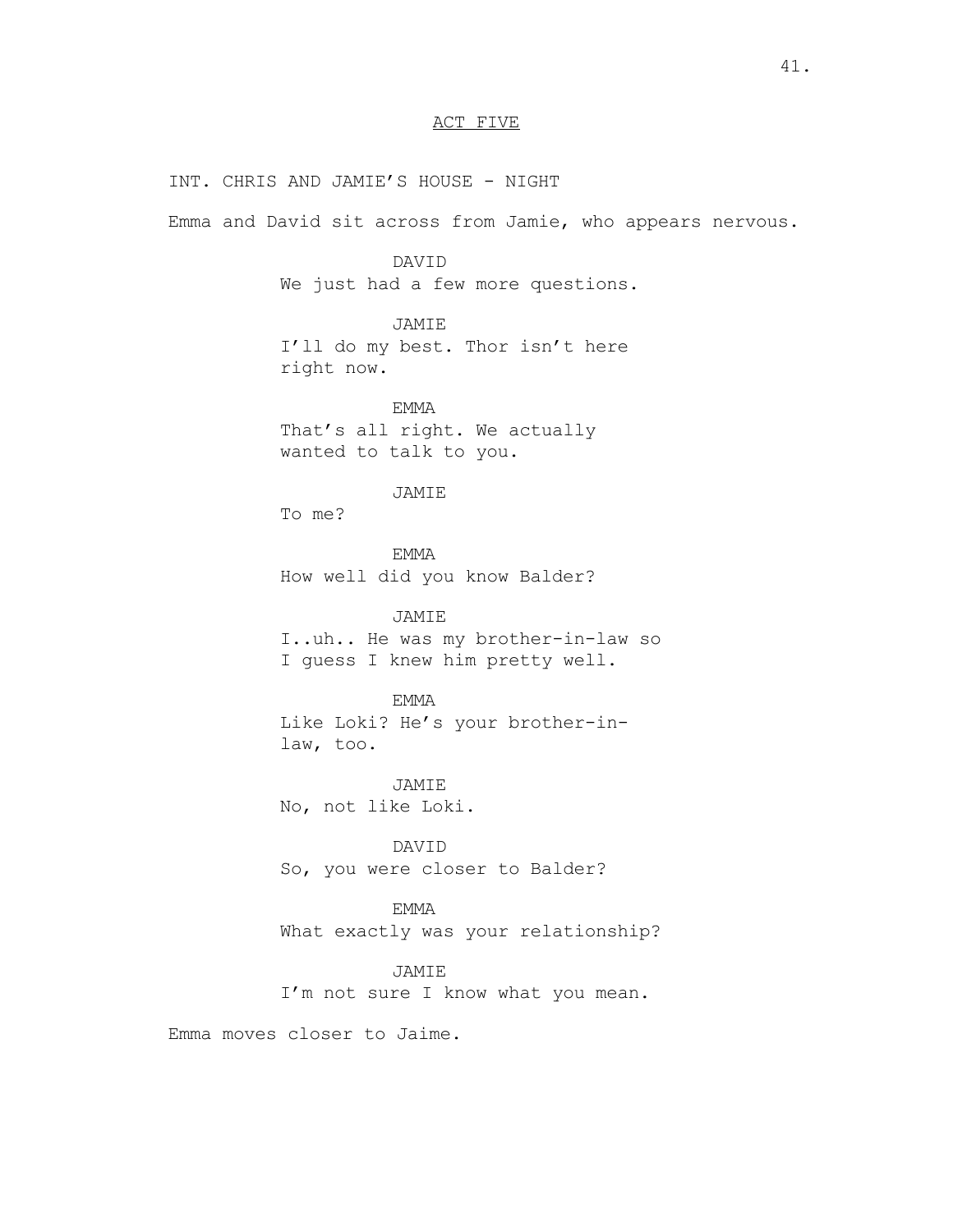# ACT FIVE

INT. CHRIS AND JAMIE'S HOUSE - NIGHT Emma and David sit across from Jamie, who appears nervous. DAVID We just had a few more questions. JAMIE I'll do my best. Thor isn't here right now. EMMA That's all right. We actually wanted to talk to you. JAMIE To me? EMMA How well did you know Balder? JAMIE I..uh.. He was my brother-in-law so I guess I knew him pretty well. EMMA Like Loki? He's your brother-inlaw, too. JAMIE No, not like Loki. DAVID So, you were closer to Balder? EMMA What exactly was your relationship?

> JAMIE I'm not sure I know what you mean.

Emma moves closer to Jaime.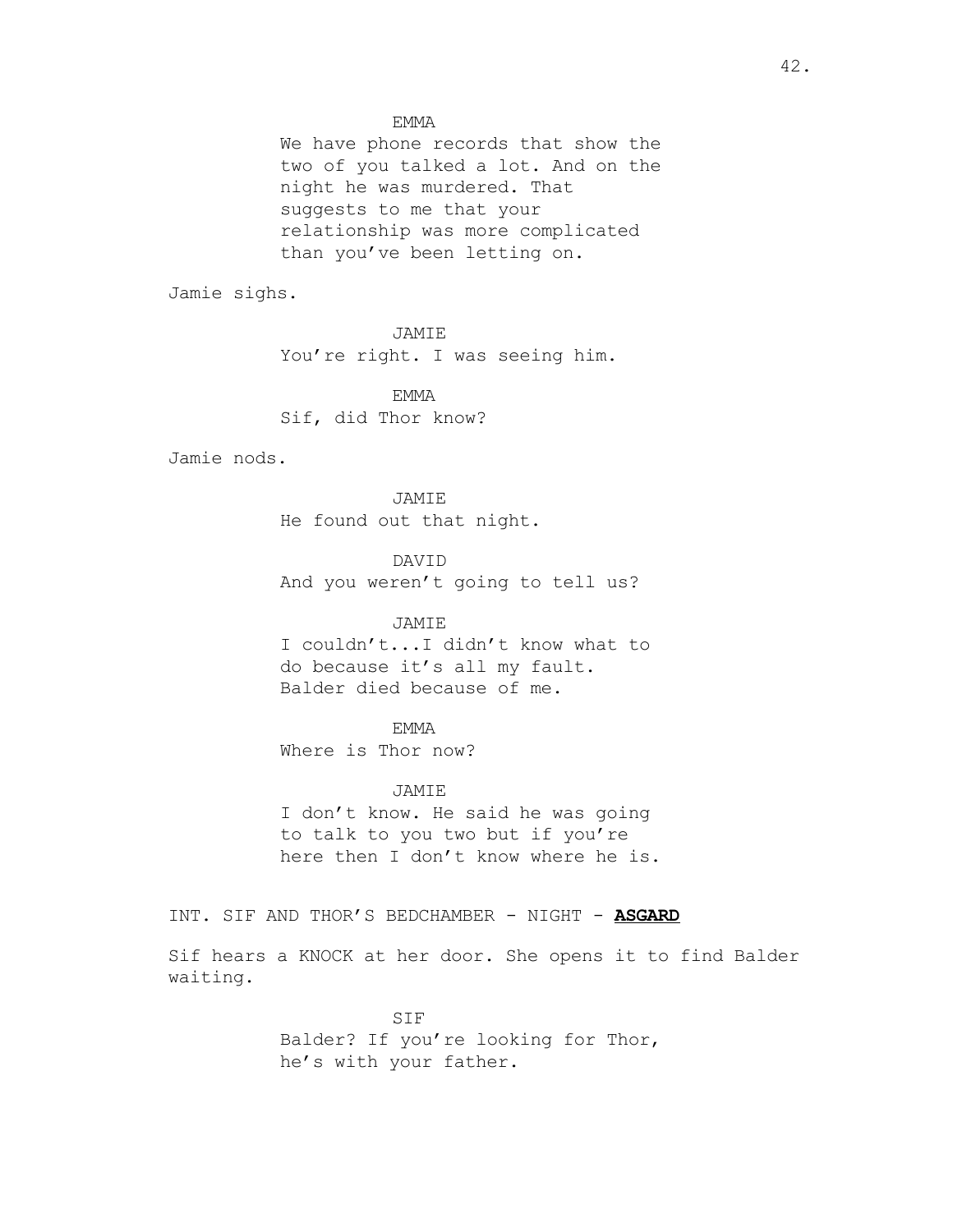EMMA

We have phone records that show the two of you talked a lot. And on the night he was murdered. That suggests to me that your relationship was more complicated than you've been letting on.

Jamie sighs.

JAMIE You're right. I was seeing him.

EMMA Sif, did Thor know?

Jamie nods.

JAMIE He found out that night.

DAVID And you weren't going to tell us?

# JAMIE

I couldn't...I didn't know what to do because it's all my fault. Balder died because of me.

# **EMMA**

Where is Thor now?

## JAMIE

I don't know. He said he was going to talk to you two but if you're here then I don't know where he is.

INT. SIF AND THOR'S BEDCHAMBER - NIGHT - **ASGARD**

Sif hears a KNOCK at her door. She opens it to find Balder waiting.

> SIF Balder? If you're looking for Thor, he's with your father.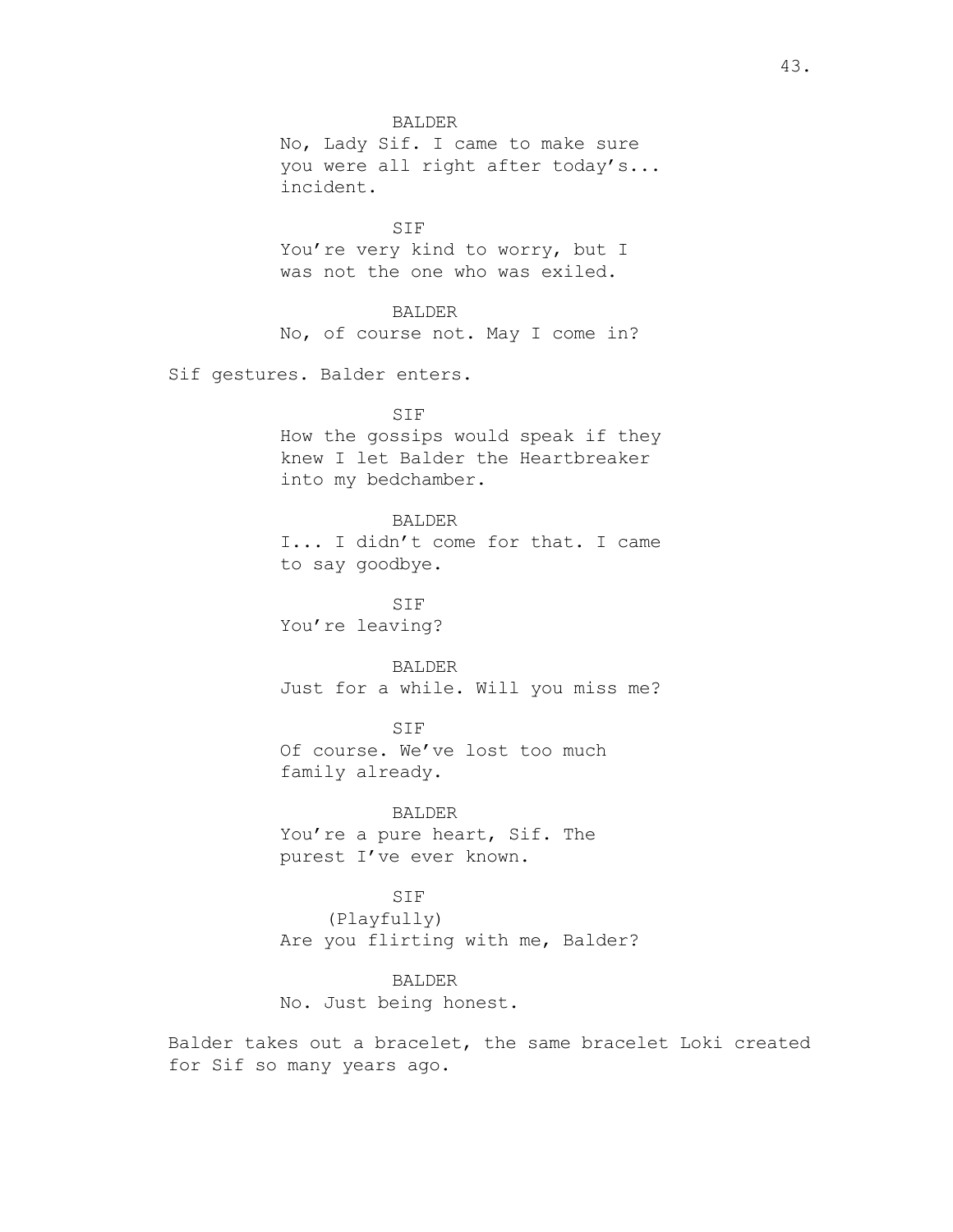BALDER No, Lady Sif. I came to make sure you were all right after today's... incident. SIF You're very kind to worry, but I was not the one who was exiled. BALDER No, of course not. May I come in? Sif gestures. Balder enters. SIF How the gossips would speak if they knew I let Balder the Heartbreaker into my bedchamber. BALDER I... I didn't come for that. I came to say goodbye. SIF You're leaving? BALDER Just for a while. Will you miss me? SIF Of course. We've lost too much family already. BALDER You're a pure heart, Sif. The purest I've ever known. SIF (Playfully)

> Are you flirting with me, Balder? BALDER

No. Just being honest.

Balder takes out a bracelet, the same bracelet Loki created for Sif so many years ago.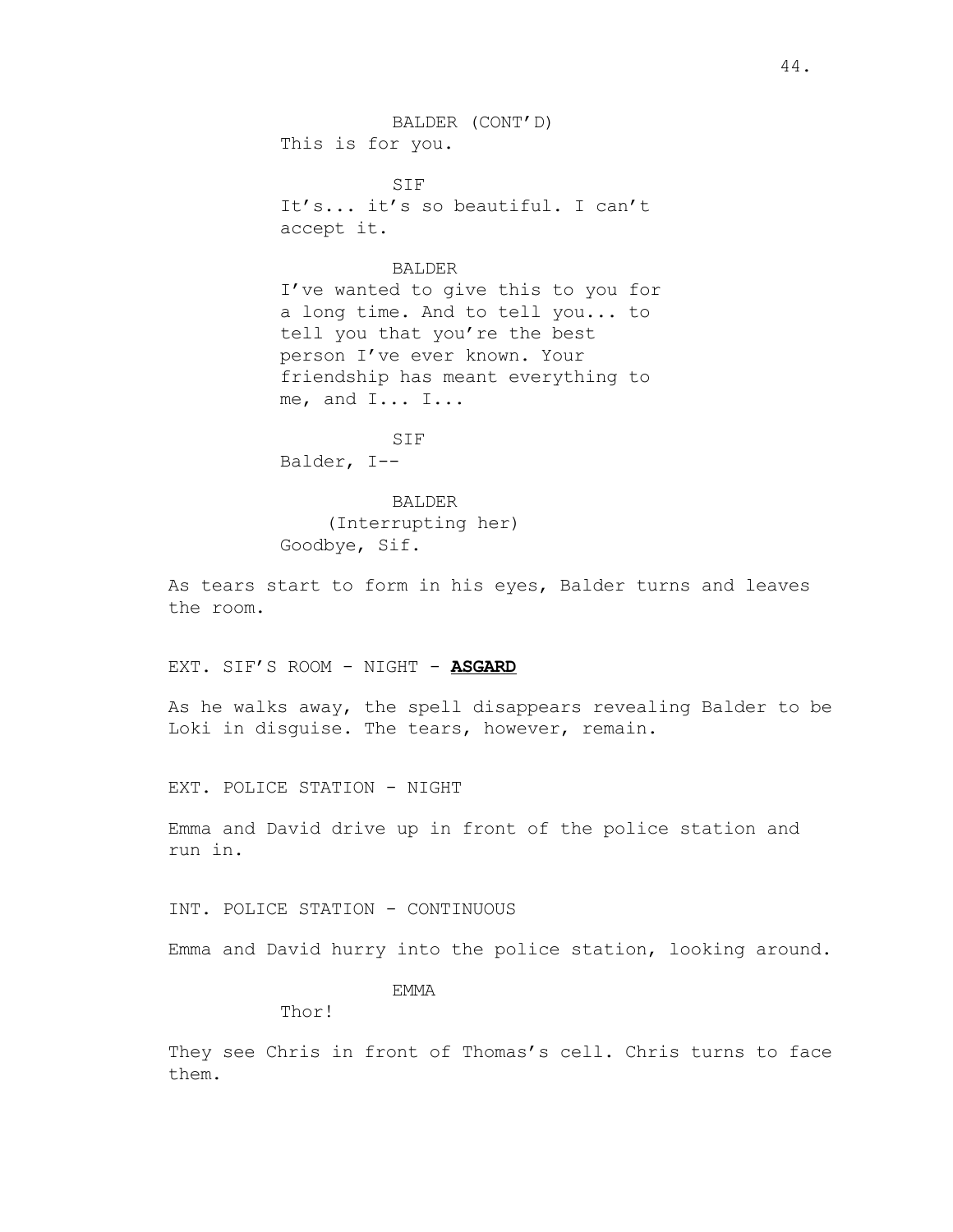BALDER (CONT'D) This is for you.

SIF It's... it's so beautiful. I can't accept it.

## BALDER

I've wanted to give this to you for a long time. And to tell you... to tell you that you're the best person I've ever known. Your friendship has meant everything to me, and I... I...

SIF

Balder, I--

BALDER (Interrupting her) Goodbye, Sif.

As tears start to form in his eyes, Balder turns and leaves the room.

EXT. SIF'S ROOM - NIGHT - **ASGARD**

As he walks away, the spell disappears revealing Balder to be Loki in disguise. The tears, however, remain.

EXT. POLICE STATION - NIGHT

Emma and David drive up in front of the police station and run in.

INT. POLICE STATION - CONTINUOUS

Emma and David hurry into the police station, looking around.

EMMA

Thor!

They see Chris in front of Thomas's cell. Chris turns to face them.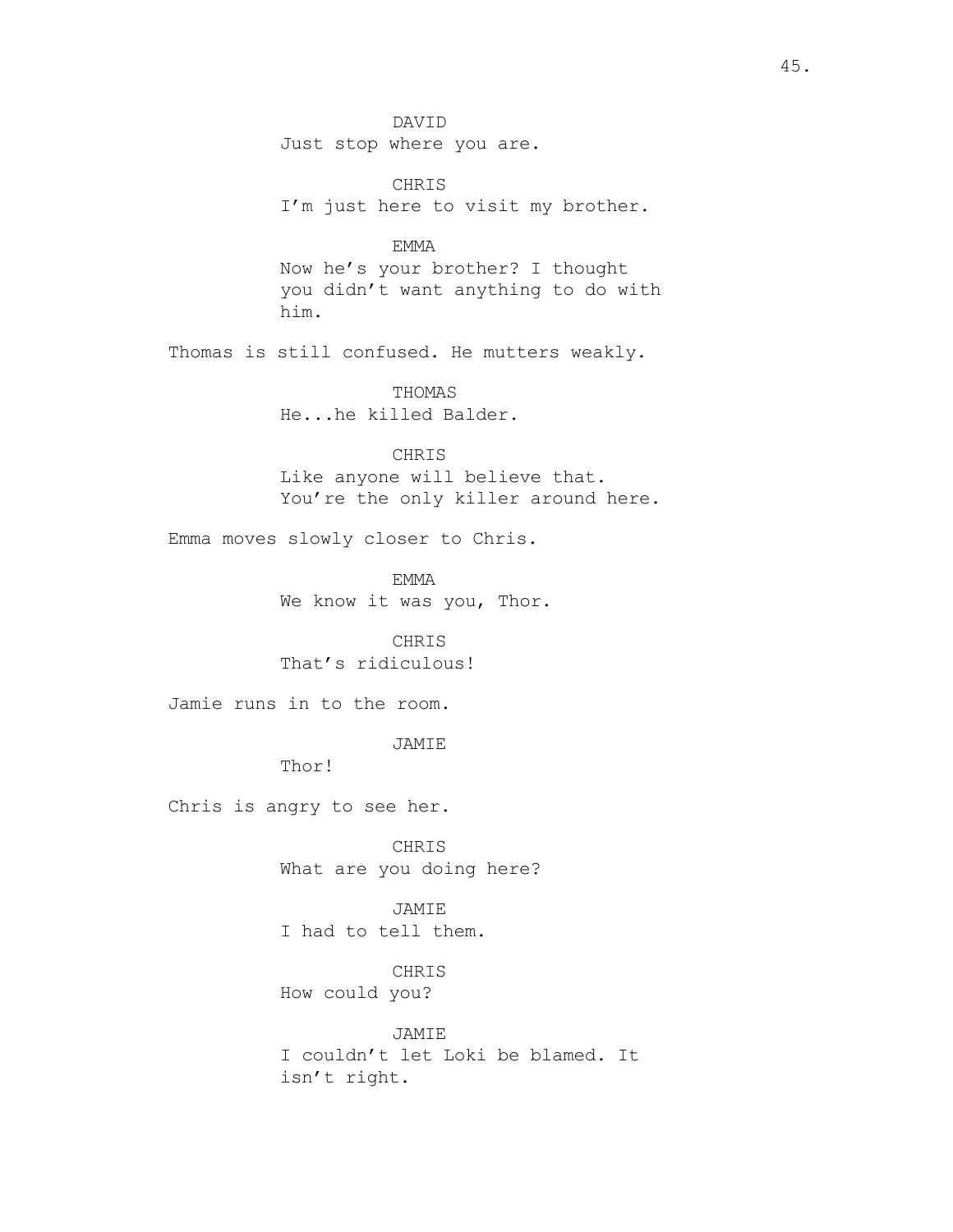DAVID Just stop where you are. CHRIS I'm just here to visit my brother. EMMA Now he's your brother? I thought you didn't want anything to do with him. Thomas is still confused. He mutters weakly. THOMAS He...he killed Balder. CHRIS Like anyone will believe that. You're the only killer around here. Emma moves slowly closer to Chris. EMMA We know it was you, Thor. CHRIS That's ridiculous! Jamie runs in to the room. JAMIE Thor! Chris is angry to see her. CHRIS What are you doing here? JAMIE I had to tell them. CHRIS How could you? JAMIE I couldn't let Loki be blamed. It

isn't right.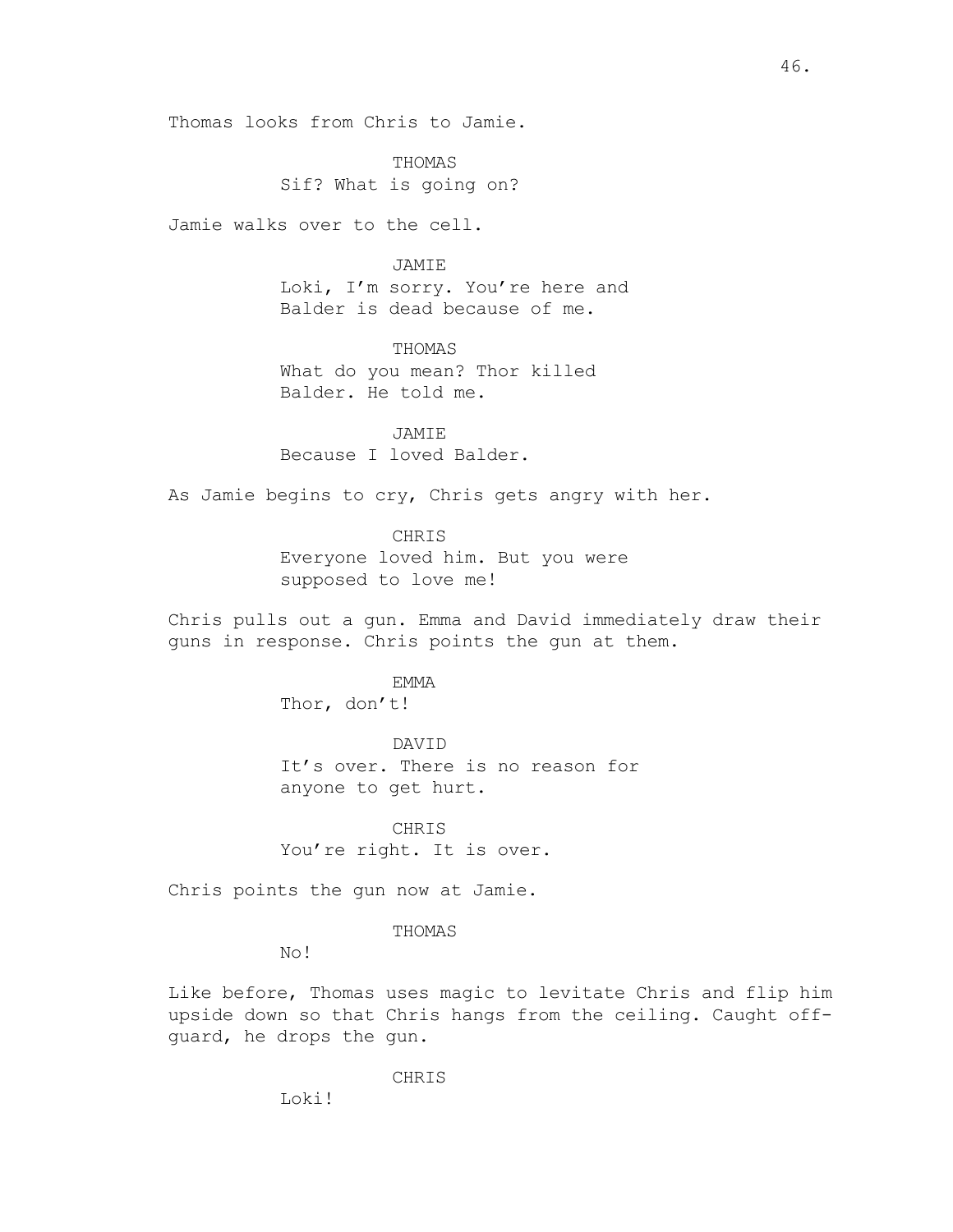Thomas looks from Chris to Jamie.

THOMAS Sif? What is going on?

Jamie walks over to the cell.

## JAMIE

Loki, I'm sorry. You're here and Balder is dead because of me.

THOMAS What do you mean? Thor killed Balder. He told me.

**JAMTE** Because I loved Balder.

As Jamie begins to cry, Chris gets angry with her.

# CHRIS

Everyone loved him. But you were supposed to love me!

Chris pulls out a gun. Emma and David immediately draw their guns in response. Chris points the gun at them.

EMMA

Thor, don't!

## DAVID

It's over. There is no reason for anyone to get hurt.

CHRIS You're right. It is over.

Chris points the gun now at Jamie.

## THOMAS

No!

Like before, Thomas uses magic to levitate Chris and flip him upside down so that Chris hangs from the ceiling. Caught offguard, he drops the gun.

CHRIS

Loki!